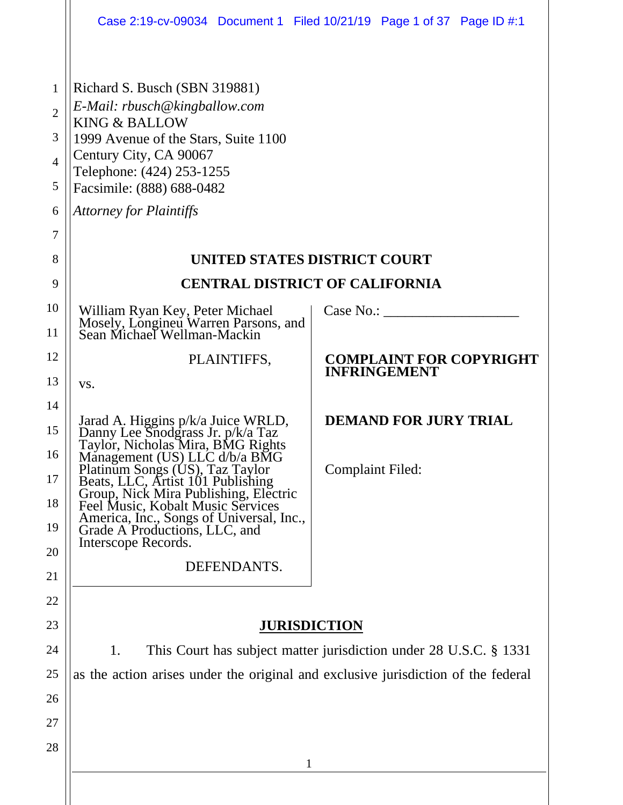|                                                                                |                                                                                                                                                                                                                                                                                                                                                                                                         | Case 2:19-cv-09034 Document 1 Filed 10/21/19 Page 1 of 37 Page ID #:1 |
|--------------------------------------------------------------------------------|---------------------------------------------------------------------------------------------------------------------------------------------------------------------------------------------------------------------------------------------------------------------------------------------------------------------------------------------------------------------------------------------------------|-----------------------------------------------------------------------|
| $\mathbf{1}$<br>$\overline{2}$<br>3<br>$\overline{4}$<br>5<br>6<br>7<br>8<br>9 | Richard S. Busch (SBN 319881)<br>E-Mail: rbusch@kingballow.com<br><b>KING &amp; BALLOW</b><br>1999 Avenue of the Stars, Suite 1100<br>Century City, CA 90067<br>Telephone: (424) 253-1255<br>Facsimile: (888) 688-0482<br><b>Attorney for Plaintiffs</b><br>UNITED STATES DISTRICT COURT<br><b>CENTRAL DISTRICT OF CALIFORNIA</b>                                                                       |                                                                       |
| 10<br>11                                                                       | William Ryan Key, Peter Michael<br>Mosely, Longineu Warren Parsons, and<br>Sean Michael Wellman-Mackin                                                                                                                                                                                                                                                                                                  | Case No.:                                                             |
| 12<br>13                                                                       | PLAINTIFFS,<br>VS.                                                                                                                                                                                                                                                                                                                                                                                      | <b>COMPLAINT FOR COPYRIGHT</b><br><b>INFRINGEMENT</b>                 |
| 14<br>15<br>16<br>17<br>18<br>19<br>20                                         | Jarad A. Higgins p/k/a Juice WRLD,<br>Danny Lee Snodgrass Jr. p/k/a Taz<br>Taylor, Nicholas Mira, BMG Rights<br>Management (US) LLC d/b/a BMG<br>Platinum Songs (US), Taz Taylor<br>Beats, LLC, Artist 101 Publishing<br>Group, Nick Mira Publishing, Electric<br>Feel Music, Kobalt Music Services<br>America, Inc., Songs of Universal, Inc.,<br>Grade A Productions, LLC, and<br>Interscope Records. | <b>DEMAND FOR JURY TRIAL</b><br><b>Complaint Filed:</b>               |
| 21<br>22                                                                       | DEFENDANTS.                                                                                                                                                                                                                                                                                                                                                                                             |                                                                       |
| 23                                                                             | <b>JURISDICTION</b>                                                                                                                                                                                                                                                                                                                                                                                     |                                                                       |
| 24                                                                             | This Court has subject matter jurisdiction under 28 U.S.C. § 1331<br>1.                                                                                                                                                                                                                                                                                                                                 |                                                                       |
| 25                                                                             | as the action arises under the original and exclusive jurisdiction of the federal                                                                                                                                                                                                                                                                                                                       |                                                                       |
| 26<br>27                                                                       |                                                                                                                                                                                                                                                                                                                                                                                                         |                                                                       |
| 28                                                                             | 1                                                                                                                                                                                                                                                                                                                                                                                                       |                                                                       |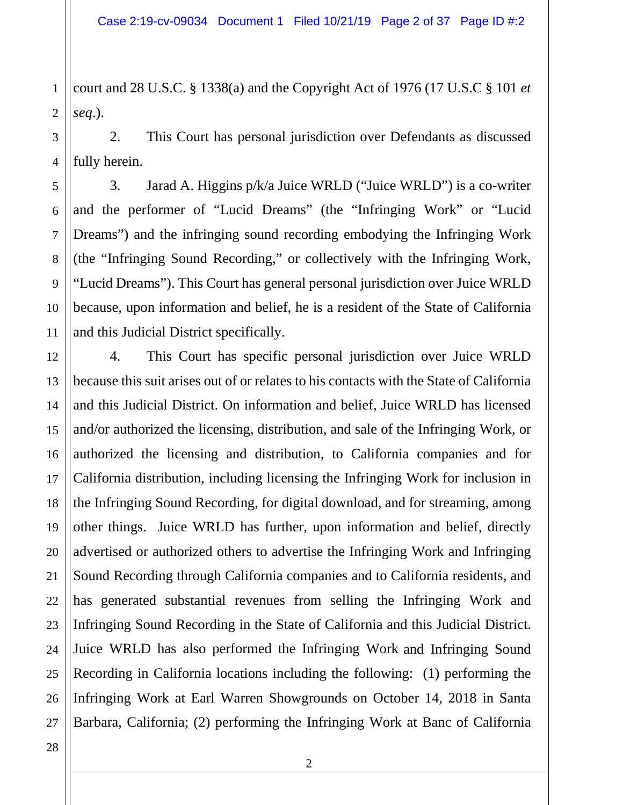1 2 court and 28 U.S.C. § 1338(a) and the Copyright Act of 1976 (17 U.S.C § 101 *et seq*.).

3 4 2. This Court has personal jurisdiction over Defendants as discussed fully herein.

3. Jarad A. Higgins p/k/a Juice WRLD ("Juice WRLD") is a co-writer and the performer of "Lucid Dreams" (the "Infringing Work" or "Lucid Dreams") and the infringing sound recording embodying the Infringing Work (the "Infringing Sound Recording," or collectively with the Infringing Work, "Lucid Dreams"). This Court has general personal jurisdiction over Juice WRLD because, upon information and belief, he is a resident of the State of California and this Judicial District specifically.

4. This Court has specific personal jurisdiction over Juice WRLD because this suit arises out of or relates to his contacts with the State of California and this Judicial District. On information and belief, Juice WRLD has licensed and/or authorized the licensing, distribution, and sale of the Infringing Work, or authorized the licensing and distribution, to California companies and for California distribution, including licensing the Infringing Work for inclusion in the Infringing Sound Recording, for digital download, and for streaming, among other things. Juice WRLD has further, upon information and belief, directly advertised or authorized others to advertise the Infringing Work and Infringing Sound Recording through California companies and to California residents, and has generated substantial revenues from selling the Infringing Work and Infringing Sound Recording in the State of California and this Judicial District. Juice WRLD has also performed the Infringing Work and Infringing Sound Recording in California locations including the following: (1) performing the Infringing Work at Earl Warren Showgrounds on October 14, 2018 in Santa Barbara, California; (2) performing the Infringing Work at Banc of California

5

6

7

8

9

10

11

12

13

14

15

16

17

18

19

20

21

22

23

24

25

26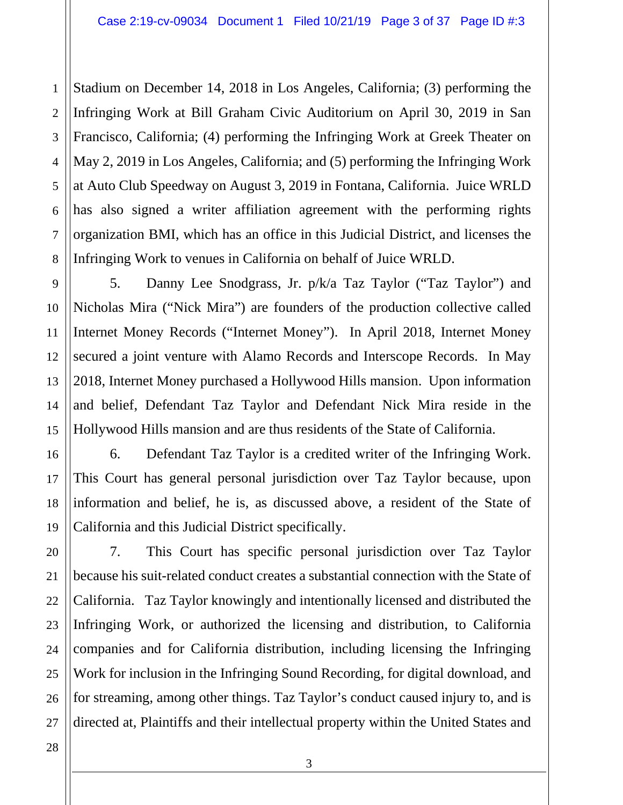1 2 3 4 Stadium on December 14, 2018 in Los Angeles, California; (3) performing the Infringing Work at Bill Graham Civic Auditorium on April 30, 2019 in San Francisco, California; (4) performing the Infringing Work at Greek Theater on May 2, 2019 in Los Angeles, California; and (5) performing the Infringing Work at Auto Club Speedway on August 3, 2019 in Fontana, California. Juice WRLD has also signed a writer affiliation agreement with the performing rights organization BMI, which has an office in this Judicial District, and licenses the Infringing Work to venues in California on behalf of Juice WRLD.

5. Danny Lee Snodgrass, Jr. p/k/a Taz Taylor ("Taz Taylor") and Nicholas Mira ("Nick Mira") are founders of the production collective called Internet Money Records ("Internet Money"). In April 2018, Internet Money secured a joint venture with Alamo Records and Interscope Records. In May 2018, Internet Money purchased a Hollywood Hills mansion. Upon information and belief, Defendant Taz Taylor and Defendant Nick Mira reside in the Hollywood Hills mansion and are thus residents of the State of California.

6. Defendant Taz Taylor is a credited writer of the Infringing Work. This Court has general personal jurisdiction over Taz Taylor because, upon information and belief, he is, as discussed above, a resident of the State of California and this Judicial District specifically.

7. This Court has specific personal jurisdiction over Taz Taylor because his suit-related conduct creates a substantial connection with the State of California. Taz Taylor knowingly and intentionally licensed and distributed the Infringing Work, or authorized the licensing and distribution, to California companies and for California distribution, including licensing the Infringing Work for inclusion in the Infringing Sound Recording, for digital download, and for streaming, among other things. Taz Taylor's conduct caused injury to, and is directed at, Plaintiffs and their intellectual property within the United States and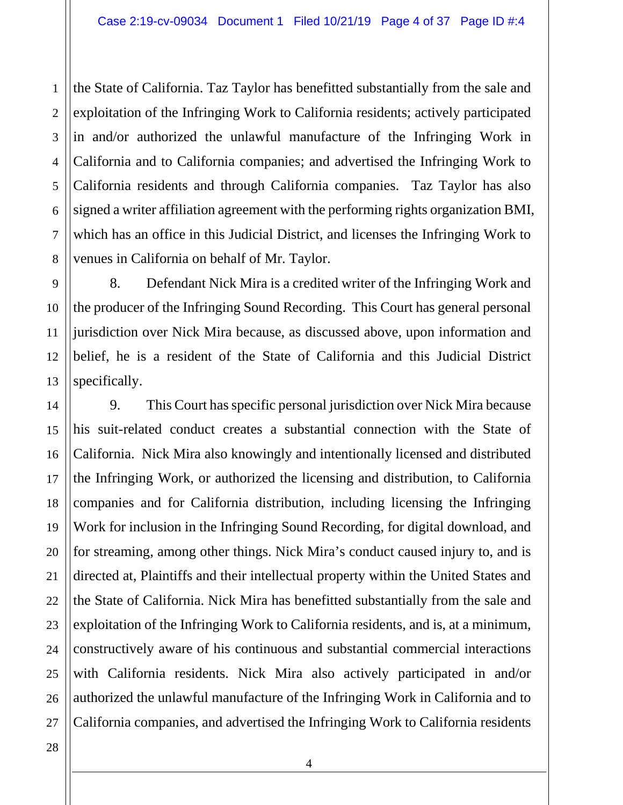3 4 5 6 7 8 the State of California. Taz Taylor has benefitted substantially from the sale and exploitation of the Infringing Work to California residents; actively participated in and/or authorized the unlawful manufacture of the Infringing Work in California and to California companies; and advertised the Infringing Work to California residents and through California companies. Taz Taylor has also signed a writer affiliation agreement with the performing rights organization BMI, which has an office in this Judicial District, and licenses the Infringing Work to venues in California on behalf of Mr. Taylor.

9 10 12 13 8. Defendant Nick Mira is a credited writer of the Infringing Work and the producer of the Infringing Sound Recording. This Court has general personal jurisdiction over Nick Mira because, as discussed above, upon information and belief, he is a resident of the State of California and this Judicial District specifically.

9. This Court has specific personal jurisdiction over Nick Mira because his suit-related conduct creates a substantial connection with the State of California. Nick Mira also knowingly and intentionally licensed and distributed the Infringing Work, or authorized the licensing and distribution, to California companies and for California distribution, including licensing the Infringing Work for inclusion in the Infringing Sound Recording, for digital download, and for streaming, among other things. Nick Mira's conduct caused injury to, and is directed at, Plaintiffs and their intellectual property within the United States and the State of California. Nick Mira has benefitted substantially from the sale and exploitation of the Infringing Work to California residents, and is, at a minimum, constructively aware of his continuous and substantial commercial interactions with California residents. Nick Mira also actively participated in and/or authorized the unlawful manufacture of the Infringing Work in California and to California companies, and advertised the Infringing Work to California residents

27 28

1

2

11

14

15

16

17

18

19

20

21

22

23

24

25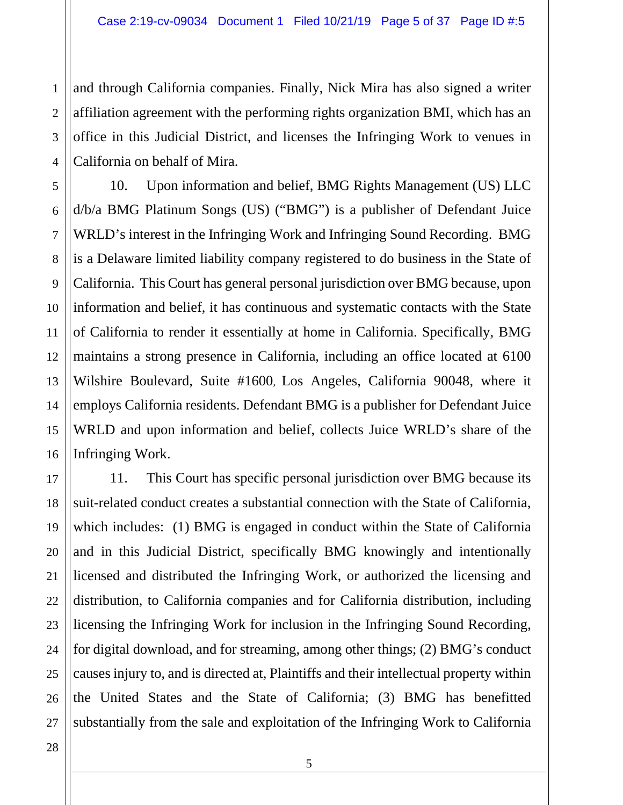3 4 and through California companies. Finally, Nick Mira has also signed a writer affiliation agreement with the performing rights organization BMI, which has an office in this Judicial District, and licenses the Infringing Work to venues in California on behalf of Mira.

10. Upon information and belief, BMG Rights Management (US) LLC d/b/a BMG Platinum Songs (US) ("BMG") is a publisher of Defendant Juice WRLD's interest in the Infringing Work and Infringing Sound Recording. BMG is a Delaware limited liability company registered to do business in the State of California. This Court has general personal jurisdiction over BMG because, upon information and belief, it has continuous and systematic contacts with the State of California to render it essentially at home in California. Specifically, BMG maintains a strong presence in California, including an office located at 6100 Wilshire Boulevard, Suite #1600, Los Angeles, California 90048, where it employs California residents. Defendant BMG is a publisher for Defendant Juice WRLD and upon information and belief, collects Juice WRLD's share of the Infringing Work.

11. This Court has specific personal jurisdiction over BMG because its suit-related conduct creates a substantial connection with the State of California, which includes: (1) BMG is engaged in conduct within the State of California and in this Judicial District, specifically BMG knowingly and intentionally licensed and distributed the Infringing Work, or authorized the licensing and distribution, to California companies and for California distribution, including licensing the Infringing Work for inclusion in the Infringing Sound Recording, for digital download, and for streaming, among other things; (2) BMG's conduct causes injury to, and is directed at, Plaintiffs and their intellectual property within the United States and the State of California; (3) BMG has benefitted substantially from the sale and exploitation of the Infringing Work to California

1

2

5

6

7

8

9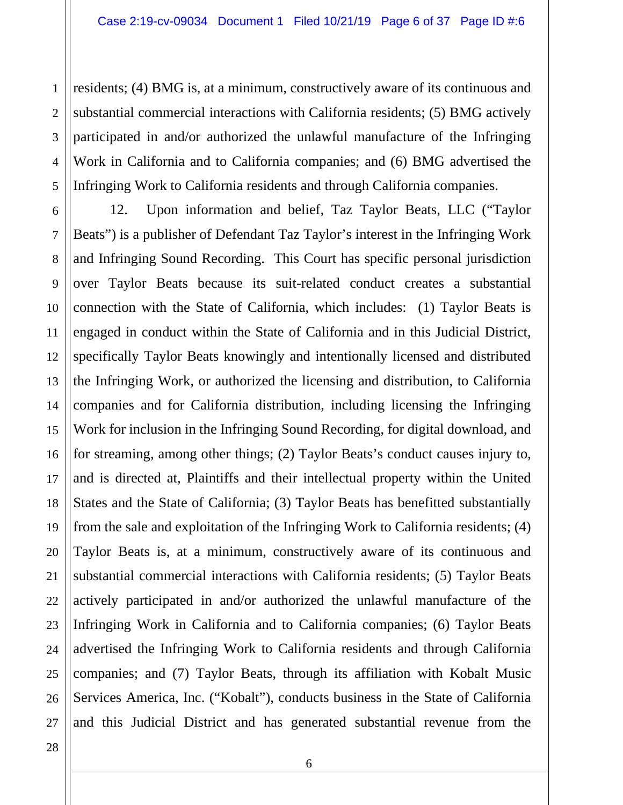2 residents; (4) BMG is, at a minimum, constructively aware of its continuous and substantial commercial interactions with California residents; (5) BMG actively participated in and/or authorized the unlawful manufacture of the Infringing Work in California and to California companies; and (6) BMG advertised the Infringing Work to California residents and through California companies.

12. Upon information and belief, Taz Taylor Beats, LLC ("Taylor Beats") is a publisher of Defendant Taz Taylor's interest in the Infringing Work and Infringing Sound Recording. This Court has specific personal jurisdiction over Taylor Beats because its suit-related conduct creates a substantial connection with the State of California, which includes: (1) Taylor Beats is engaged in conduct within the State of California and in this Judicial District, specifically Taylor Beats knowingly and intentionally licensed and distributed the Infringing Work, or authorized the licensing and distribution, to California companies and for California distribution, including licensing the Infringing Work for inclusion in the Infringing Sound Recording, for digital download, and for streaming, among other things; (2) Taylor Beats's conduct causes injury to, and is directed at, Plaintiffs and their intellectual property within the United States and the State of California; (3) Taylor Beats has benefitted substantially from the sale and exploitation of the Infringing Work to California residents; (4) Taylor Beats is, at a minimum, constructively aware of its continuous and substantial commercial interactions with California residents; (5) Taylor Beats actively participated in and/or authorized the unlawful manufacture of the Infringing Work in California and to California companies; (6) Taylor Beats advertised the Infringing Work to California residents and through California companies; and (7) Taylor Beats, through its affiliation with Kobalt Music Services America, Inc. ("Kobalt"), conducts business in the State of California and this Judicial District and has generated substantial revenue from the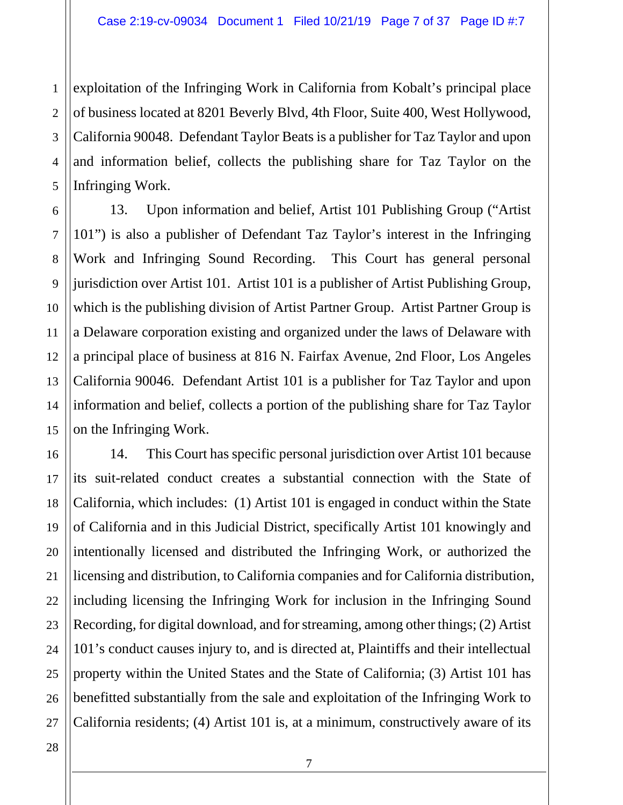1 2 3 4 5 exploitation of the Infringing Work in California from Kobalt's principal place of business located at 8201 Beverly Blvd, 4th Floor, Suite 400, West Hollywood, California 90048. Defendant Taylor Beats is a publisher for Taz Taylor and upon and information belief, collects the publishing share for Taz Taylor on the Infringing Work.

13. Upon information and belief, Artist 101 Publishing Group ("Artist 101") is also a publisher of Defendant Taz Taylor's interest in the Infringing Work and Infringing Sound Recording. This Court has general personal jurisdiction over Artist 101. Artist 101 is a publisher of Artist Publishing Group, which is the publishing division of Artist Partner Group. Artist Partner Group is a Delaware corporation existing and organized under the laws of Delaware with a principal place of business at 816 N. Fairfax Avenue, 2nd Floor, Los Angeles California 90046. Defendant Artist 101 is a publisher for Taz Taylor and upon information and belief, collects a portion of the publishing share for Taz Taylor on the Infringing Work.

14. This Court has specific personal jurisdiction over Artist 101 because its suit-related conduct creates a substantial connection with the State of California, which includes: (1) Artist 101 is engaged in conduct within the State of California and in this Judicial District, specifically Artist 101 knowingly and intentionally licensed and distributed the Infringing Work, or authorized the licensing and distribution, to California companies and for California distribution, including licensing the Infringing Work for inclusion in the Infringing Sound Recording, for digital download, and for streaming, among other things; (2) Artist 101's conduct causes injury to, and is directed at, Plaintiffs and their intellectual property within the United States and the State of California; (3) Artist 101 has benefitted substantially from the sale and exploitation of the Infringing Work to California residents; (4) Artist 101 is, at a minimum, constructively aware of its

6

7

8

9

10

11

12

13

14

15

16

17

18

19

20

21

22

23

24

25

26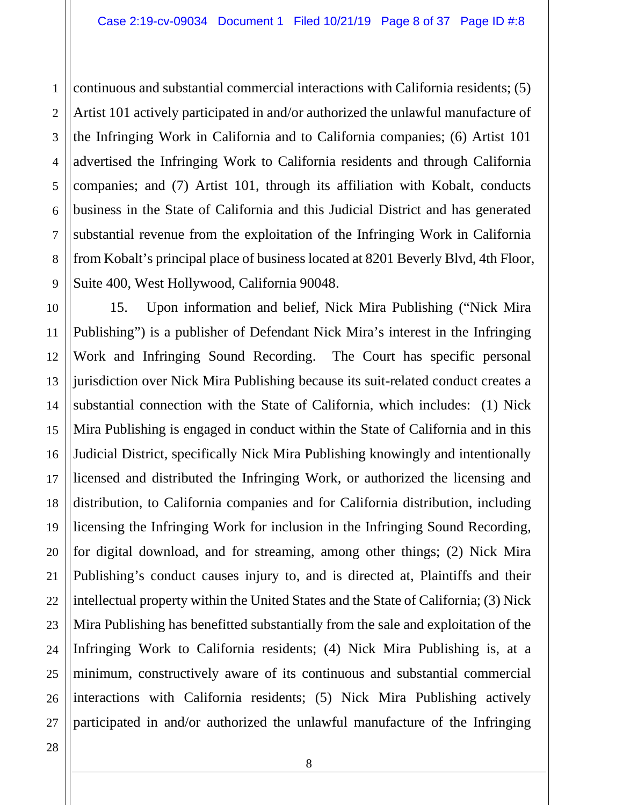1 2 3 4 5 6 7 8 9 continuous and substantial commercial interactions with California residents; (5) Artist 101 actively participated in and/or authorized the unlawful manufacture of the Infringing Work in California and to California companies; (6) Artist 101 advertised the Infringing Work to California residents and through California companies; and (7) Artist 101, through its affiliation with Kobalt, conducts business in the State of California and this Judicial District and has generated substantial revenue from the exploitation of the Infringing Work in California from Kobalt's principal place of business located at 8201 Beverly Blvd, 4th Floor, Suite 400, West Hollywood, California 90048.

10 11 12 13 14 15 16 17 18 19 20 21 22 23 24 25 26 27 15. Upon information and belief, Nick Mira Publishing ("Nick Mira Publishing") is a publisher of Defendant Nick Mira's interest in the Infringing Work and Infringing Sound Recording. The Court has specific personal jurisdiction over Nick Mira Publishing because its suit-related conduct creates a substantial connection with the State of California, which includes: (1) Nick Mira Publishing is engaged in conduct within the State of California and in this Judicial District, specifically Nick Mira Publishing knowingly and intentionally licensed and distributed the Infringing Work, or authorized the licensing and distribution, to California companies and for California distribution, including licensing the Infringing Work for inclusion in the Infringing Sound Recording, for digital download, and for streaming, among other things; (2) Nick Mira Publishing's conduct causes injury to, and is directed at, Plaintiffs and their intellectual property within the United States and the State of California; (3) Nick Mira Publishing has benefitted substantially from the sale and exploitation of the Infringing Work to California residents; (4) Nick Mira Publishing is, at a minimum, constructively aware of its continuous and substantial commercial interactions with California residents; (5) Nick Mira Publishing actively participated in and/or authorized the unlawful manufacture of the Infringing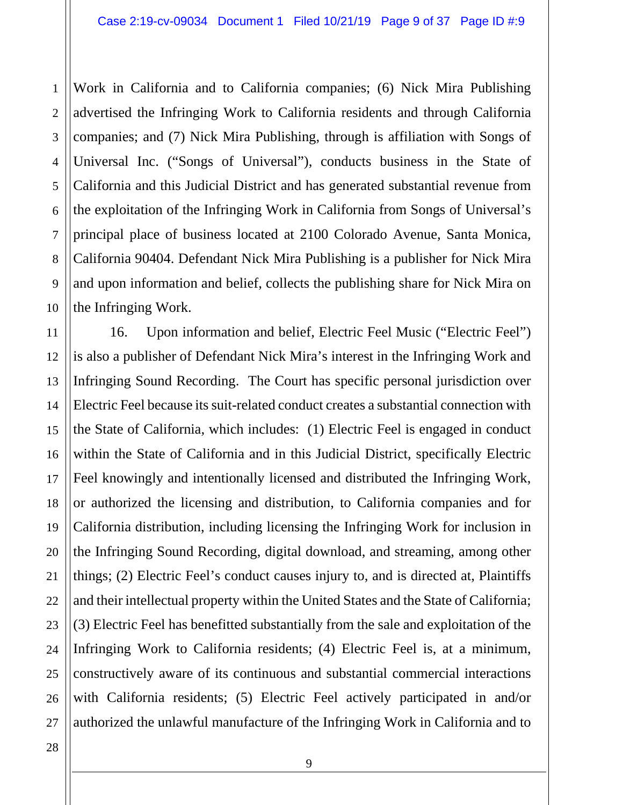2 3 4 5 6 7 8 9 10 Work in California and to California companies; (6) Nick Mira Publishing advertised the Infringing Work to California residents and through California companies; and (7) Nick Mira Publishing, through is affiliation with Songs of Universal Inc. ("Songs of Universal"), conducts business in the State of California and this Judicial District and has generated substantial revenue from the exploitation of the Infringing Work in California from Songs of Universal's principal place of business located at 2100 Colorado Avenue, Santa Monica, California 90404. Defendant Nick Mira Publishing is a publisher for Nick Mira and upon information and belief, collects the publishing share for Nick Mira on the Infringing Work.

11 12 13 14 15 16 17 18 19 20 21 22 23 24 25 26 16. Upon information and belief, Electric Feel Music ("Electric Feel") is also a publisher of Defendant Nick Mira's interest in the Infringing Work and Infringing Sound Recording. The Court has specific personal jurisdiction over Electric Feel because its suit-related conduct creates a substantial connection with the State of California, which includes: (1) Electric Feel is engaged in conduct within the State of California and in this Judicial District, specifically Electric Feel knowingly and intentionally licensed and distributed the Infringing Work, or authorized the licensing and distribution, to California companies and for California distribution, including licensing the Infringing Work for inclusion in the Infringing Sound Recording, digital download, and streaming, among other things; (2) Electric Feel's conduct causes injury to, and is directed at, Plaintiffs and their intellectual property within the United States and the State of California; (3) Electric Feel has benefitted substantially from the sale and exploitation of the Infringing Work to California residents; (4) Electric Feel is, at a minimum, constructively aware of its continuous and substantial commercial interactions with California residents; (5) Electric Feel actively participated in and/or authorized the unlawful manufacture of the Infringing Work in California and to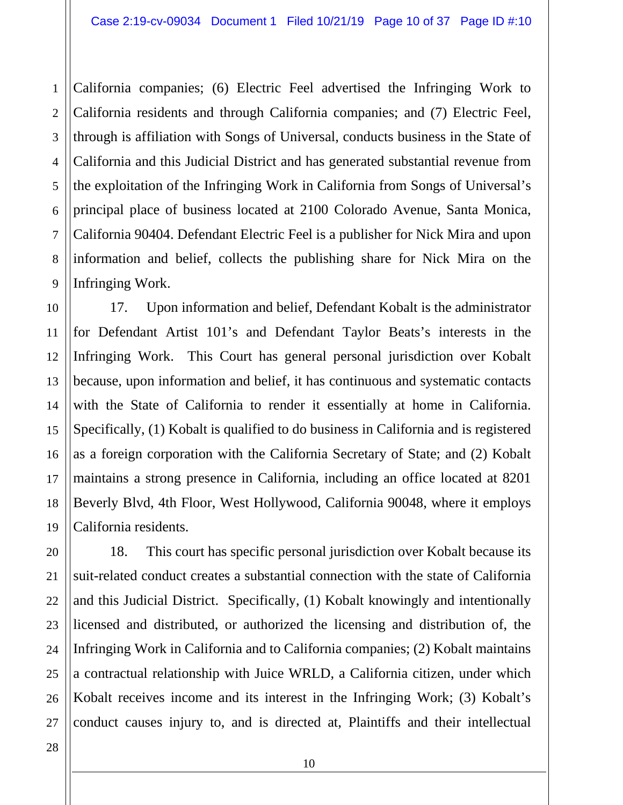California companies; (6) Electric Feel advertised the Infringing Work to California residents and through California companies; and (7) Electric Feel, through is affiliation with Songs of Universal, conducts business in the State of California and this Judicial District and has generated substantial revenue from the exploitation of the Infringing Work in California from Songs of Universal's principal place of business located at 2100 Colorado Avenue, Santa Monica, California 90404. Defendant Electric Feel is a publisher for Nick Mira and upon information and belief, collects the publishing share for Nick Mira on the Infringing Work.

17. Upon information and belief, Defendant Kobalt is the administrator for Defendant Artist 101's and Defendant Taylor Beats's interests in the Infringing Work. This Court has general personal jurisdiction over Kobalt because, upon information and belief, it has continuous and systematic contacts with the State of California to render it essentially at home in California. Specifically, (1) Kobalt is qualified to do business in California and is registered as a foreign corporation with the California Secretary of State; and (2) Kobalt maintains a strong presence in California, including an office located at 8201 Beverly Blvd, 4th Floor, West Hollywood, California 90048, where it employs California residents.

18. This court has specific personal jurisdiction over Kobalt because its suit-related conduct creates a substantial connection with the state of California and this Judicial District. Specifically, (1) Kobalt knowingly and intentionally licensed and distributed, or authorized the licensing and distribution of, the Infringing Work in California and to California companies; (2) Kobalt maintains a contractual relationship with Juice WRLD, a California citizen, under which Kobalt receives income and its interest in the Infringing Work; (3) Kobalt's conduct causes injury to, and is directed at, Plaintiffs and their intellectual

1

2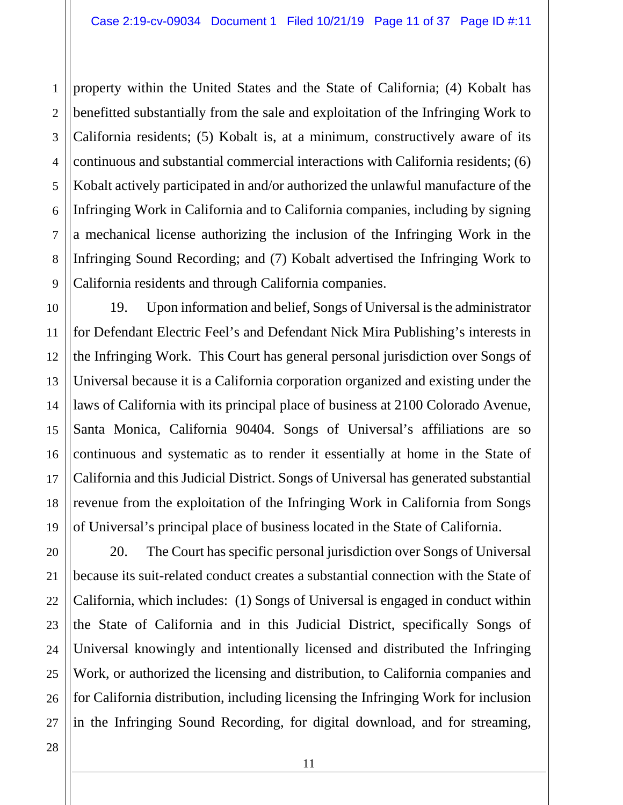1 2 3 4 5 property within the United States and the State of California; (4) Kobalt has benefitted substantially from the sale and exploitation of the Infringing Work to California residents; (5) Kobalt is, at a minimum, constructively aware of its continuous and substantial commercial interactions with California residents; (6) Kobalt actively participated in and/or authorized the unlawful manufacture of the Infringing Work in California and to California companies, including by signing a mechanical license authorizing the inclusion of the Infringing Work in the Infringing Sound Recording; and (7) Kobalt advertised the Infringing Work to California residents and through California companies.

19. Upon information and belief, Songs of Universal is the administrator for Defendant Electric Feel's and Defendant Nick Mira Publishing's interests in the Infringing Work. This Court has general personal jurisdiction over Songs of Universal because it is a California corporation organized and existing under the laws of California with its principal place of business at 2100 Colorado Avenue, Santa Monica, California 90404. Songs of Universal's affiliations are so continuous and systematic as to render it essentially at home in the State of California and this Judicial District. Songs of Universal has generated substantial revenue from the exploitation of the Infringing Work in California from Songs of Universal's principal place of business located in the State of California.

20. The Court has specific personal jurisdiction over Songs of Universal because its suit-related conduct creates a substantial connection with the State of California, which includes: (1) Songs of Universal is engaged in conduct within the State of California and in this Judicial District, specifically Songs of Universal knowingly and intentionally licensed and distributed the Infringing Work, or authorized the licensing and distribution, to California companies and for California distribution, including licensing the Infringing Work for inclusion in the Infringing Sound Recording, for digital download, and for streaming,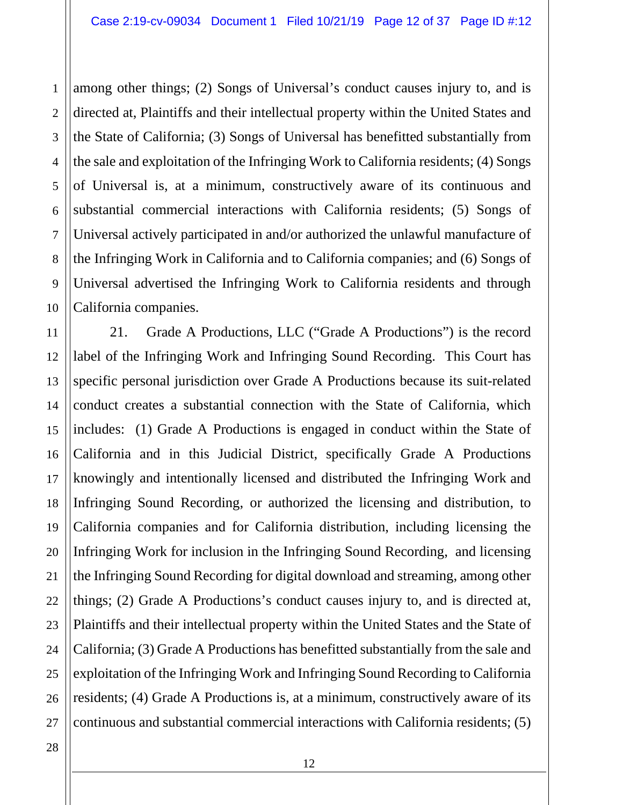1 2 3 4 5 6 7 8 9 10 among other things; (2) Songs of Universal's conduct causes injury to, and is directed at, Plaintiffs and their intellectual property within the United States and the State of California; (3) Songs of Universal has benefitted substantially from the sale and exploitation of the Infringing Work to California residents; (4) Songs of Universal is, at a minimum, constructively aware of its continuous and substantial commercial interactions with California residents; (5) Songs of Universal actively participated in and/or authorized the unlawful manufacture of the Infringing Work in California and to California companies; and (6) Songs of Universal advertised the Infringing Work to California residents and through California companies.

11 12 13 14 15 16 17 18 19 20 21 22 23 24 25 21. Grade A Productions, LLC ("Grade A Productions") is the record label of the Infringing Work and Infringing Sound Recording. This Court has specific personal jurisdiction over Grade A Productions because its suit-related conduct creates a substantial connection with the State of California, which includes: (1) Grade A Productions is engaged in conduct within the State of California and in this Judicial District, specifically Grade A Productions knowingly and intentionally licensed and distributed the Infringing Work and Infringing Sound Recording, or authorized the licensing and distribution, to California companies and for California distribution, including licensing the Infringing Work for inclusion in the Infringing Sound Recording, and licensing the Infringing Sound Recording for digital download and streaming, among other things; (2) Grade A Productions's conduct causes injury to, and is directed at, Plaintiffs and their intellectual property within the United States and the State of California; (3) Grade A Productions has benefitted substantially from the sale and exploitation of the Infringing Work and Infringing Sound Recording to California residents; (4) Grade A Productions is, at a minimum, constructively aware of its continuous and substantial commercial interactions with California residents; (5)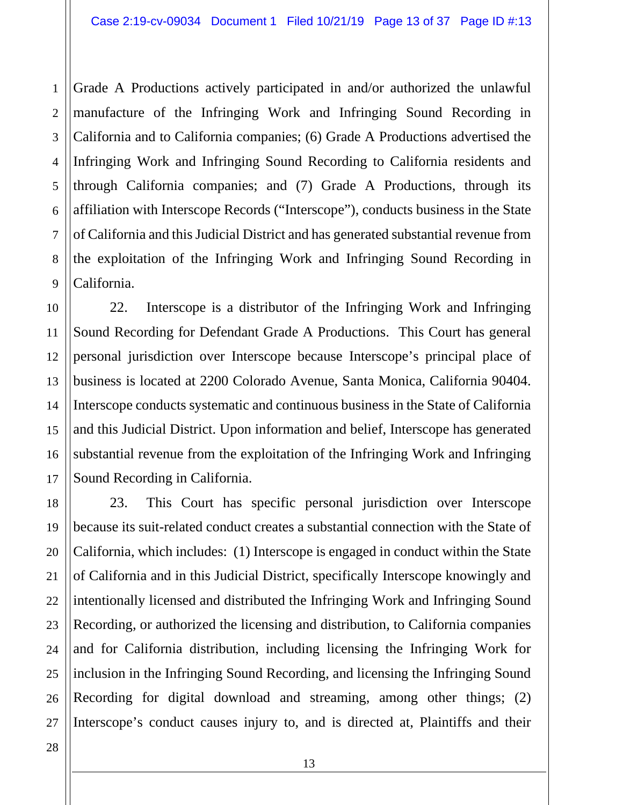3 4 Grade A Productions actively participated in and/or authorized the unlawful manufacture of the Infringing Work and Infringing Sound Recording in California and to California companies; (6) Grade A Productions advertised the Infringing Work and Infringing Sound Recording to California residents and through California companies; and (7) Grade A Productions, through its affiliation with Interscope Records ("Interscope"), conducts business in the State of California and this Judicial District and has generated substantial revenue from the exploitation of the Infringing Work and Infringing Sound Recording in California.

22. Interscope is a distributor of the Infringing Work and Infringing Sound Recording for Defendant Grade A Productions. This Court has general personal jurisdiction over Interscope because Interscope's principal place of business is located at 2200 Colorado Avenue, Santa Monica, California 90404. Interscope conducts systematic and continuous business in the State of California and this Judicial District. Upon information and belief, Interscope has generated substantial revenue from the exploitation of the Infringing Work and Infringing Sound Recording in California.

23. This Court has specific personal jurisdiction over Interscope because its suit-related conduct creates a substantial connection with the State of California, which includes: (1) Interscope is engaged in conduct within the State of California and in this Judicial District, specifically Interscope knowingly and intentionally licensed and distributed the Infringing Work and Infringing Sound Recording, or authorized the licensing and distribution, to California companies and for California distribution, including licensing the Infringing Work for inclusion in the Infringing Sound Recording, and licensing the Infringing Sound Recording for digital download and streaming, among other things; (2) Interscope's conduct causes injury to, and is directed at, Plaintiffs and their

1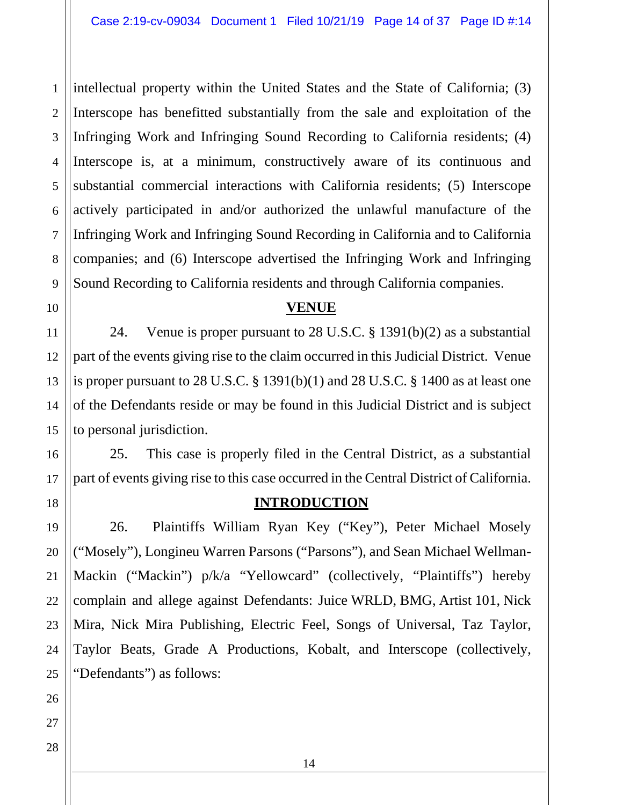1 2 3 4 5 intellectual property within the United States and the State of California; (3) Interscope has benefitted substantially from the sale and exploitation of the Infringing Work and Infringing Sound Recording to California residents; (4) Interscope is, at a minimum, constructively aware of its continuous and substantial commercial interactions with California residents; (5) Interscope actively participated in and/or authorized the unlawful manufacture of the Infringing Work and Infringing Sound Recording in California and to California companies; and (6) Interscope advertised the Infringing Work and Infringing Sound Recording to California residents and through California companies.

### **VENUE**

24. Venue is proper pursuant to 28 U.S.C. § 1391(b)(2) as a substantial part of the events giving rise to the claim occurred in this Judicial District. Venue is proper pursuant to 28 U.S.C. § 1391(b)(1) and 28 U.S.C. § 1400 as at least one of the Defendants reside or may be found in this Judicial District and is subject to personal jurisdiction.

25. This case is properly filed in the Central District, as a substantial part of events giving rise to this case occurred in the Central District of California.

### **INTRODUCTION**

26. Plaintiffs William Ryan Key ("Key"), Peter Michael Mosely ("Mosely"), Longineu Warren Parsons ("Parsons"), and Sean Michael Wellman-Mackin ("Mackin") p/k/a "Yellowcard" (collectively, "Plaintiffs") hereby complain and allege against Defendants: Juice WRLD, BMG, Artist 101, Nick Mira, Nick Mira Publishing, Electric Feel, Songs of Universal, Taz Taylor, Taylor Beats, Grade A Productions, Kobalt, and Interscope (collectively, "Defendants") as follows: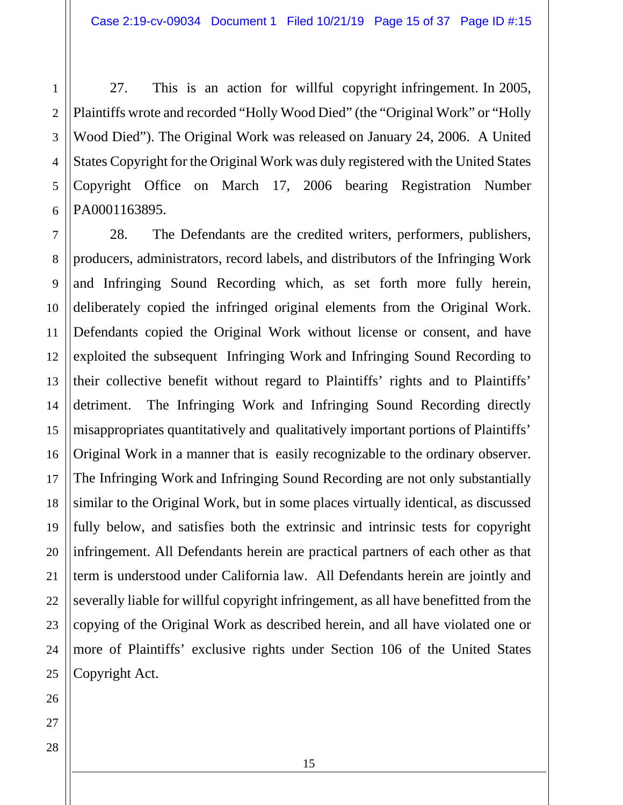27. This is an action for willful copyright infringement. In 2005, Plaintiffs wrote and recorded "Holly Wood Died" (the "Original Work" or "Holly Wood Died"). The Original Work was released on January 24, 2006. A United States Copyright for the Original Work was duly registered with the United States Copyright Office on March 17, 2006 bearing Registration Number PA0001163895.

28. The Defendants are the credited writers, performers, publishers, producers, administrators, record labels, and distributors of the Infringing Work and Infringing Sound Recording which, as set forth more fully herein, deliberately copied the infringed original elements from the Original Work. Defendants copied the Original Work without license or consent, and have exploited the subsequent Infringing Work and Infringing Sound Recording to their collective benefit without regard to Plaintiffs' rights and to Plaintiffs' detriment. The Infringing Work and Infringing Sound Recording directly misappropriates quantitatively and qualitatively important portions of Plaintiffs' Original Work in a manner that is easily recognizable to the ordinary observer. The Infringing Work and Infringing Sound Recording are not only substantially similar to the Original Work, but in some places virtually identical, as discussed fully below, and satisfies both the extrinsic and intrinsic tests for copyright infringement. All Defendants herein are practical partners of each other as that term is understood under California law. All Defendants herein are jointly and severally liable for willful copyright infringement, as all have benefitted from the copying of the Original Work as described herein, and all have violated one or more of Plaintiffs' exclusive rights under Section 106 of the United States Copyright Act.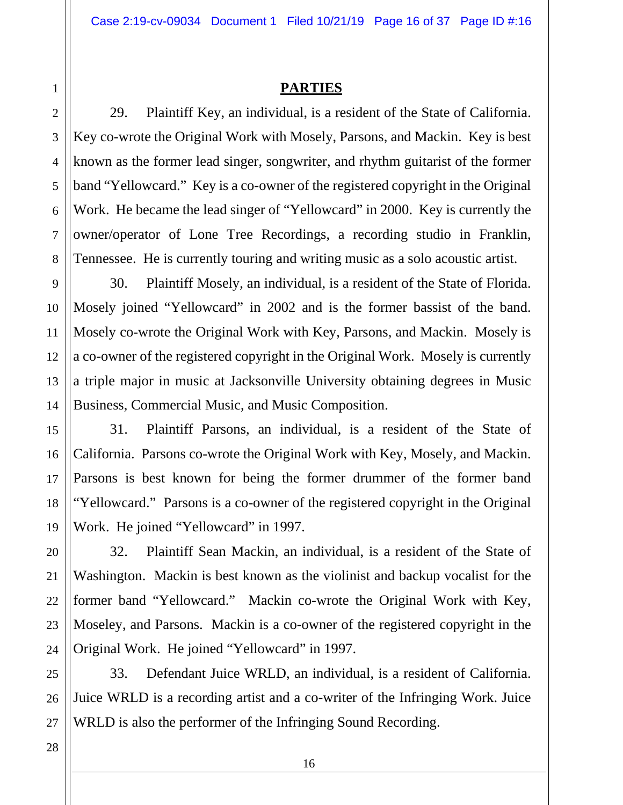### **PARTIES**

29. Plaintiff Key, an individual, is a resident of the State of California. Key co-wrote the Original Work with Mosely, Parsons, and Mackin. Key is best known as the former lead singer, songwriter, and rhythm guitarist of the former band "Yellowcard." Key is a co-owner of the registered copyright in the Original Work. He became the lead singer of "Yellowcard" in 2000. Key is currently the owner/operator of Lone Tree Recordings, a recording studio in Franklin, Tennessee. He is currently touring and writing music as a solo acoustic artist.

30. Plaintiff Mosely, an individual, is a resident of the State of Florida. Mosely joined "Yellowcard" in 2002 and is the former bassist of the band. Mosely co-wrote the Original Work with Key, Parsons, and Mackin. Mosely is a co-owner of the registered copyright in the Original Work. Mosely is currently a triple major in music at Jacksonville University obtaining degrees in Music Business, Commercial Music, and Music Composition.

31. Plaintiff Parsons, an individual, is a resident of the State of California. Parsons co-wrote the Original Work with Key, Mosely, and Mackin. Parsons is best known for being the former drummer of the former band "Yellowcard." Parsons is a co-owner of the registered copyright in the Original Work. He joined "Yellowcard" in 1997.

32. Plaintiff Sean Mackin, an individual, is a resident of the State of Washington. Mackin is best known as the violinist and backup vocalist for the former band "Yellowcard." Mackin co-wrote the Original Work with Key, Moseley, and Parsons. Mackin is a co-owner of the registered copyright in the Original Work. He joined "Yellowcard" in 1997.

33. Defendant Juice WRLD, an individual, is a resident of California. Juice WRLD is a recording artist and a co-writer of the Infringing Work. Juice WRLD is also the performer of the Infringing Sound Recording.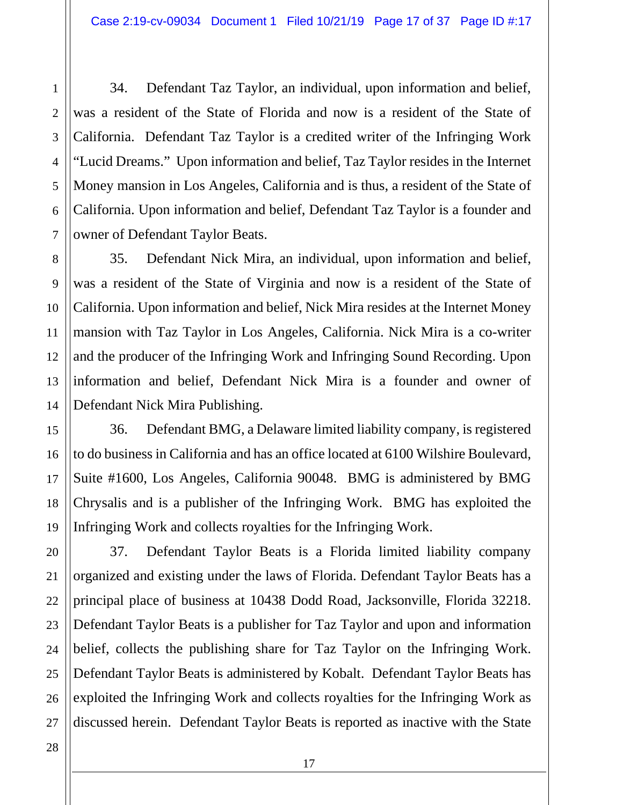34. Defendant Taz Taylor, an individual, upon information and belief, was a resident of the State of Florida and now is a resident of the State of California. Defendant Taz Taylor is a credited writer of the Infringing Work "Lucid Dreams." Upon information and belief, Taz Taylor resides in the Internet Money mansion in Los Angeles, California and is thus, a resident of the State of California. Upon information and belief, Defendant Taz Taylor is a founder and owner of Defendant Taylor Beats.

35. Defendant Nick Mira, an individual, upon information and belief, was a resident of the State of Virginia and now is a resident of the State of California. Upon information and belief, Nick Mira resides at the Internet Money mansion with Taz Taylor in Los Angeles, California. Nick Mira is a co-writer and the producer of the Infringing Work and Infringing Sound Recording. Upon information and belief, Defendant Nick Mira is a founder and owner of Defendant Nick Mira Publishing.

36. Defendant BMG, a Delaware limited liability company, is registered to do business in California and has an office located at 6100 Wilshire Boulevard, Suite #1600, Los Angeles, California 90048. BMG is administered by BMG Chrysalis and is a publisher of the Infringing Work. BMG has exploited the Infringing Work and collects royalties for the Infringing Work.

37. Defendant Taylor Beats is a Florida limited liability company organized and existing under the laws of Florida. Defendant Taylor Beats has a principal place of business at 10438 Dodd Road, Jacksonville, Florida 32218. Defendant Taylor Beats is a publisher for Taz Taylor and upon and information belief, collects the publishing share for Taz Taylor on the Infringing Work. Defendant Taylor Beats is administered by Kobalt. Defendant Taylor Beats has exploited the Infringing Work and collects royalties for the Infringing Work as discussed herein. Defendant Taylor Beats is reported as inactive with the State

1

2

3

4

5

6

7

8

9

10

11

12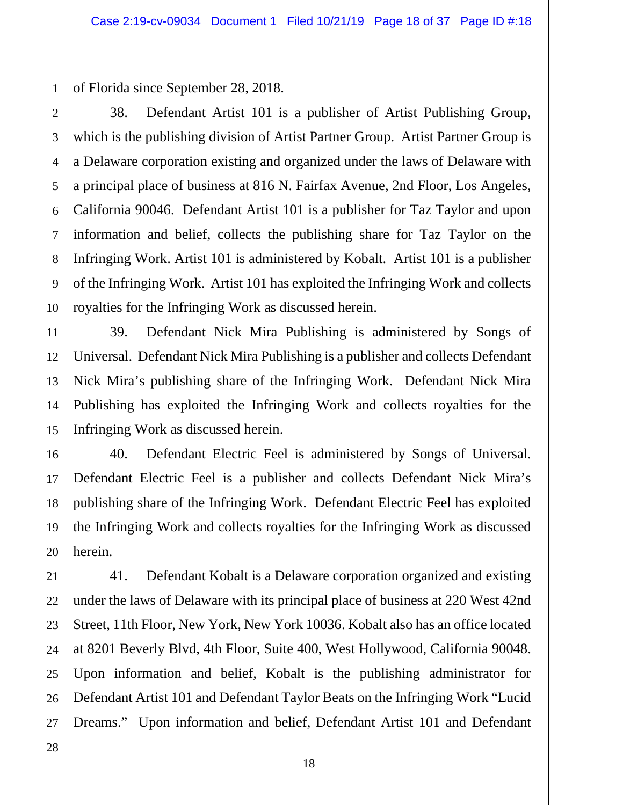of Florida since September 28, 2018.

1

2

3

4

5

6

7

8

9

10

11

12

13

14

15

16

17

18

19

20

21

22

23

24

25

38. Defendant Artist 101 is a publisher of Artist Publishing Group, which is the publishing division of Artist Partner Group. Artist Partner Group is a Delaware corporation existing and organized under the laws of Delaware with a principal place of business at 816 N. Fairfax Avenue, 2nd Floor, Los Angeles, California 90046. Defendant Artist 101 is a publisher for Taz Taylor and upon information and belief, collects the publishing share for Taz Taylor on the Infringing Work. Artist 101 is administered by Kobalt. Artist 101 is a publisher of the Infringing Work. Artist 101 has exploited the Infringing Work and collects royalties for the Infringing Work as discussed herein.

39. Defendant Nick Mira Publishing is administered by Songs of Universal. Defendant Nick Mira Publishing is a publisher and collects Defendant Nick Mira's publishing share of the Infringing Work. Defendant Nick Mira Publishing has exploited the Infringing Work and collects royalties for the Infringing Work as discussed herein.

40. Defendant Electric Feel is administered by Songs of Universal. Defendant Electric Feel is a publisher and collects Defendant Nick Mira's publishing share of the Infringing Work. Defendant Electric Feel has exploited the Infringing Work and collects royalties for the Infringing Work as discussed herein.

26 41. Defendant Kobalt is a Delaware corporation organized and existing under the laws of Delaware with its principal place of business at 220 West 42nd Street, 11th Floor, New York, New York 10036. Kobalt also has an office located at 8201 Beverly Blvd, 4th Floor, Suite 400, West Hollywood, California 90048. Upon information and belief, Kobalt is the publishing administrator for Defendant Artist 101 and Defendant Taylor Beats on the Infringing Work "Lucid Dreams." Upon information and belief, Defendant Artist 101 and Defendant

28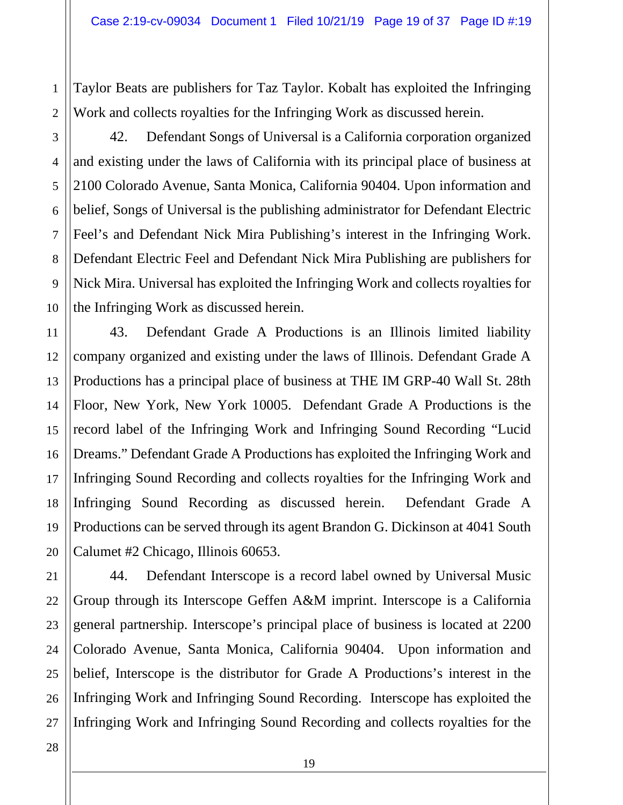Taylor Beats are publishers for Taz Taylor. Kobalt has exploited the Infringing Work and collects royalties for the Infringing Work as discussed herein.

1

2

3

4

5

6

42. Defendant Songs of Universal is a California corporation organized and existing under the laws of California with its principal place of business at 2100 Colorado Avenue, Santa Monica, California 90404. Upon information and belief, Songs of Universal is the publishing administrator for Defendant Electric Feel's and Defendant Nick Mira Publishing's interest in the Infringing Work. Defendant Electric Feel and Defendant Nick Mira Publishing are publishers for Nick Mira. Universal has exploited the Infringing Work and collects royalties for the Infringing Work as discussed herein.

43. Defendant Grade A Productions is an Illinois limited liability company organized and existing under the laws of Illinois. Defendant Grade A Productions has a principal place of business at THE IM GRP-40 Wall St. 28th Floor, New York, New York 10005. Defendant Grade A Productions is the record label of the Infringing Work and Infringing Sound Recording "Lucid Dreams." Defendant Grade A Productions has exploited the Infringing Work and Infringing Sound Recording and collects royalties for the Infringing Work and Infringing Sound Recording as discussed herein. Defendant Grade A Productions can be served through its agent Brandon G. Dickinson at 4041 South Calumet #2 Chicago, Illinois 60653.

44. Defendant Interscope is a record label owned by Universal Music Group through its Interscope Geffen A&M imprint. Interscope is a California general partnership. Interscope's principal place of business is located at 2200 Colorado Avenue, Santa Monica, California 90404. Upon information and belief, Interscope is the distributor for Grade A Productions's interest in the Infringing Work and Infringing Sound Recording. Interscope has exploited the Infringing Work and Infringing Sound Recording and collects royalties for the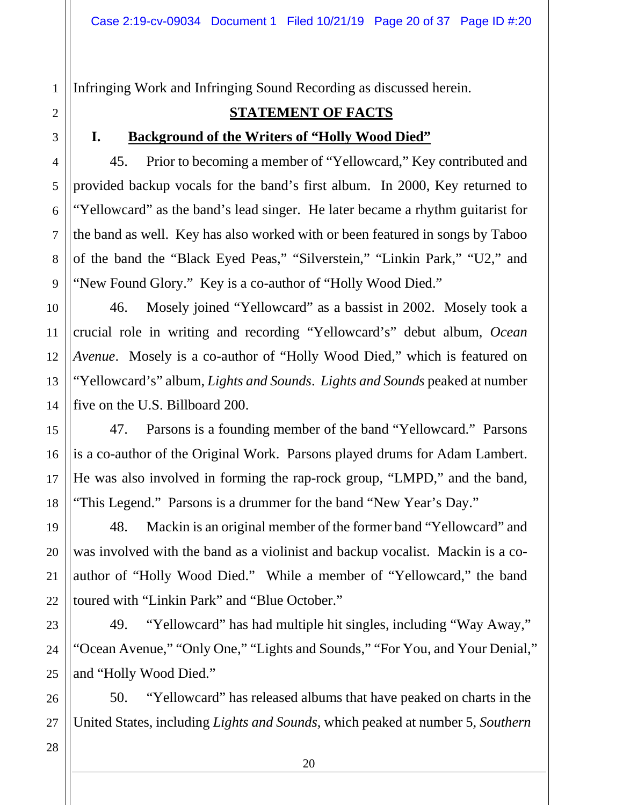Infringing Work and Infringing Sound Recording as discussed herein.

# **STATEMENT OF FACTS**

### **I. Background of the Writers of "Holly Wood Died"**

45. Prior to becoming a member of "Yellowcard," Key contributed and provided backup vocals for the band's first album. In 2000, Key returned to "Yellowcard" as the band's lead singer. He later became a rhythm guitarist for the band as well. Key has also worked with or been featured in songs by Taboo of the band the "Black Eyed Peas," "Silverstein," "Linkin Park," "U2," and "New Found Glory." Key is a co-author of "Holly Wood Died."

46. Mosely joined "Yellowcard" as a bassist in 2002. Mosely took a crucial role in writing and recording "Yellowcard's" debut album, *Ocean Avenue*. Mosely is a co-author of "Holly Wood Died," which is featured on "Yellowcard's" album, *Lights and Sounds*. *Lights and Sounds* peaked at number five on the U.S. Billboard 200.

47. Parsons is a founding member of the band "Yellowcard." Parsons is a co-author of the Original Work. Parsons played drums for Adam Lambert. He was also involved in forming the rap-rock group, "LMPD," and the band, "This Legend." Parsons is a drummer for the band "New Year's Day."

48. Mackin is an original member of the former band "Yellowcard" and was involved with the band as a violinist and backup vocalist. Mackin is a coauthor of "Holly Wood Died." While a member of "Yellowcard," the band toured with "Linkin Park" and "Blue October."

49. "Yellowcard" has had multiple hit singles, including "Way Away," "Ocean Avenue," "Only One," "Lights and Sounds," "For You, and Your Denial," and "Holly Wood Died."

50. "Yellowcard" has released albums that have peaked on charts in the United States, including *Lights and Sounds*, which peaked at number 5, *Southern* 

1

2

3

4

5

6

7

8

9

10

11

12

13

14

15

16

17

18

19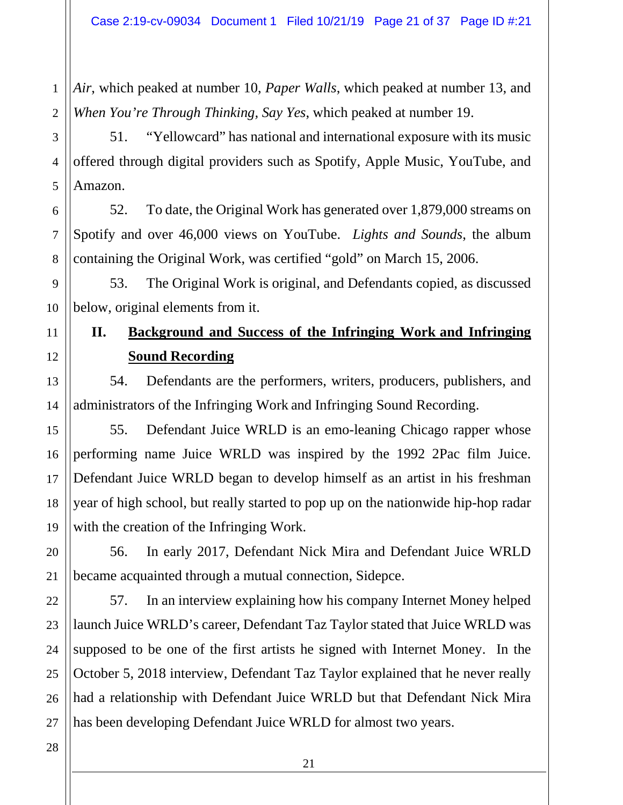*Air*, which peaked at number 10, *Paper Walls*, which peaked at number 13, and *When You're Through Thinking, Say Yes*, which peaked at number 19.

51. "Yellowcard" has national and international exposure with its music offered through digital providers such as Spotify, Apple Music, YouTube, and Amazon.

52. To date, the Original Work has generated over 1,879,000 streams on Spotify and over 46,000 views on YouTube. *Lights and Sounds*, the album containing the Original Work, was certified "gold" on March 15, 2006.

53. The Original Work is original, and Defendants copied, as discussed below, original elements from it.

# **II. Background and Success of the Infringing Work and Infringing Sound Recording**

54. Defendants are the performers, writers, producers, publishers, and administrators of the Infringing Work and Infringing Sound Recording.

55. Defendant Juice WRLD is an emo-leaning Chicago rapper whose performing name Juice WRLD was inspired by the 1992 2Pac film Juice. Defendant Juice WRLD began to develop himself as an artist in his freshman year of high school, but really started to pop up on the nationwide hip-hop radar with the creation of the Infringing Work.

56. In early 2017, Defendant Nick Mira and Defendant Juice WRLD became acquainted through a mutual connection, Sidepce.

57. In an interview explaining how his company Internet Money helped launch Juice WRLD's career, Defendant Taz Taylor stated that Juice WRLD was supposed to be one of the first artists he signed with Internet Money. In the October 5, 2018 interview, Defendant Taz Taylor explained that he never really had a relationship with Defendant Juice WRLD but that Defendant Nick Mira has been developing Defendant Juice WRLD for almost two years.

1

2

3

4

5

6

7

8

9

10

11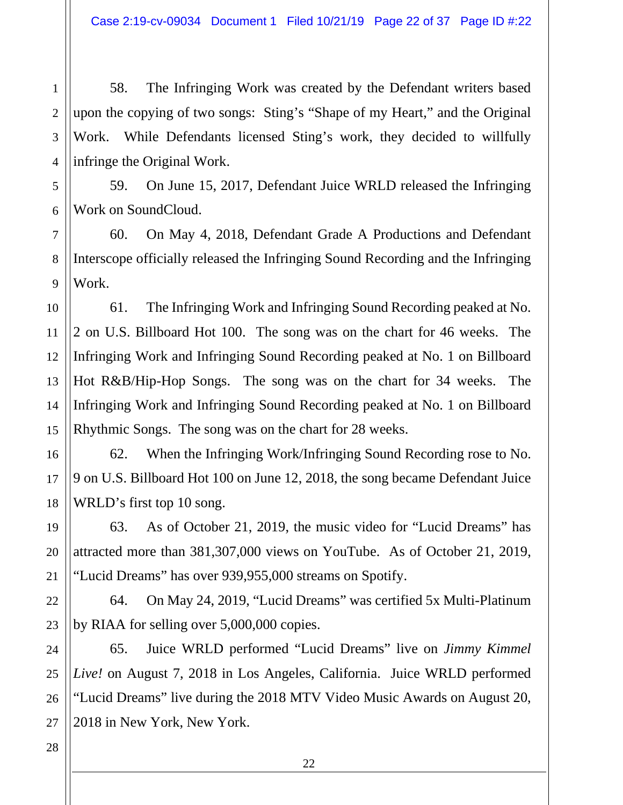58. The Infringing Work was created by the Defendant writers based upon the copying of two songs: Sting's "Shape of my Heart," and the Original Work. While Defendants licensed Sting's work, they decided to willfully infringe the Original Work.

59. On June 15, 2017, Defendant Juice WRLD released the Infringing Work on SoundCloud.

60. On May 4, 2018, Defendant Grade A Productions and Defendant Interscope officially released the Infringing Sound Recording and the Infringing Work.

61. The Infringing Work and Infringing Sound Recording peaked at No. 2 on U.S. Billboard Hot 100. The song was on the chart for 46 weeks. The Infringing Work and Infringing Sound Recording peaked at No. 1 on Billboard Hot R&B/Hip-Hop Songs. The song was on the chart for 34 weeks. The Infringing Work and Infringing Sound Recording peaked at No. 1 on Billboard Rhythmic Songs. The song was on the chart for 28 weeks.

62. When the Infringing Work/Infringing Sound Recording rose to No. 9 on U.S. Billboard Hot 100 on June 12, 2018, the song became Defendant Juice WRLD's first top 10 song.

63. As of October 21, 2019, the music video for "Lucid Dreams" has attracted more than 381,307,000 views on YouTube. As of October 21, 2019, "Lucid Dreams" has over 939,955,000 streams on Spotify.

64. On May 24, 2019, "Lucid Dreams" was certified 5x Multi-Platinum by RIAA for selling over 5,000,000 copies.

65. Juice WRLD performed "Lucid Dreams" live on *Jimmy Kimmel Live!* on August 7, 2018 in Los Angeles, California. Juice WRLD performed "Lucid Dreams" live during the 2018 MTV Video Music Awards on August 20, 2018 in New York, New York.

1

2

3

4

5

6

7

8

9

10

11

12

13

14

15

16

17

18

19

20

21

22

23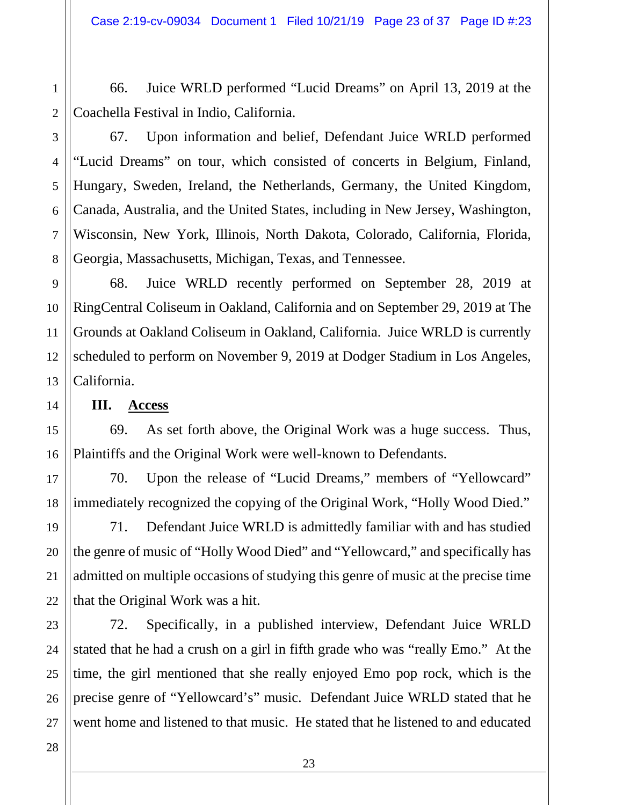66. Juice WRLD performed "Lucid Dreams" on April 13, 2019 at the Coachella Festival in Indio, California.

1

2

3

4

5

6

7

8

14

15

16

17

18

19

20

21

67. Upon information and belief, Defendant Juice WRLD performed "Lucid Dreams" on tour, which consisted of concerts in Belgium, Finland, Hungary, Sweden, Ireland, the Netherlands, Germany, the United Kingdom, Canada, Australia, and the United States, including in New Jersey, Washington, Wisconsin, New York, Illinois, North Dakota, Colorado, California, Florida, Georgia, Massachusetts, Michigan, Texas, and Tennessee.

9 10 11 12 13 68. Juice WRLD recently performed on September 28, 2019 at RingCentral Coliseum in Oakland, California and on September 29, 2019 at The Grounds at Oakland Coliseum in Oakland, California. Juice WRLD is currently scheduled to perform on November 9, 2019 at Dodger Stadium in Los Angeles, California.

**III. Access**

69. As set forth above, the Original Work was a huge success. Thus, Plaintiffs and the Original Work were well-known to Defendants.

70. Upon the release of "Lucid Dreams," members of "Yellowcard" immediately recognized the copying of the Original Work, "Holly Wood Died."

71. Defendant Juice WRLD is admittedly familiar with and has studied the genre of music of "Holly Wood Died" and "Yellowcard," and specifically has admitted on multiple occasions of studying this genre of music at the precise time that the Original Work was a hit.

72. Specifically, in a published interview, Defendant Juice WRLD stated that he had a crush on a girl in fifth grade who was "really Emo." At the time, the girl mentioned that she really enjoyed Emo pop rock, which is the precise genre of "Yellowcard's" music. Defendant Juice WRLD stated that he went home and listened to that music. He stated that he listened to and educated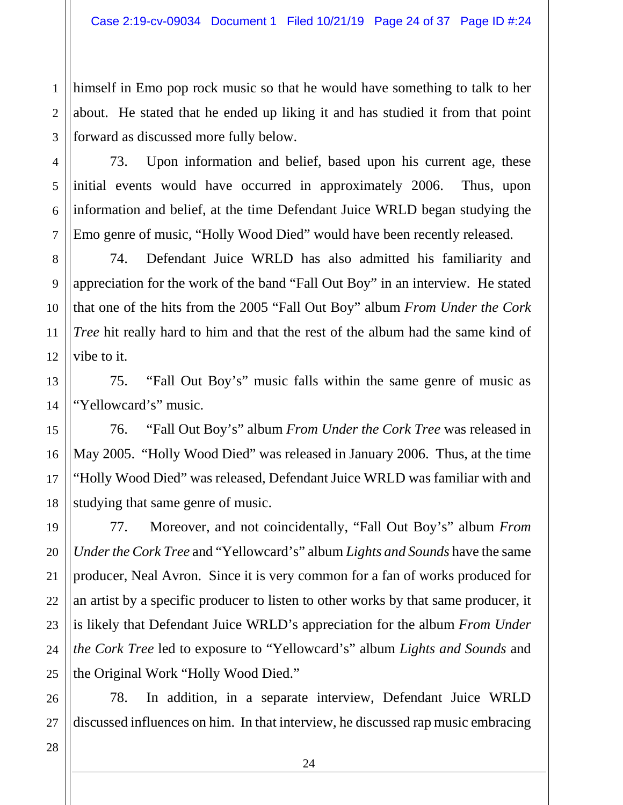himself in Emo pop rock music so that he would have something to talk to her about. He stated that he ended up liking it and has studied it from that point forward as discussed more fully below.

73. Upon information and belief, based upon his current age, these initial events would have occurred in approximately 2006. Thus, upon information and belief, at the time Defendant Juice WRLD began studying the Emo genre of music, "Holly Wood Died" would have been recently released.

74. Defendant Juice WRLD has also admitted his familiarity and appreciation for the work of the band "Fall Out Boy" in an interview. He stated that one of the hits from the 2005 "Fall Out Boy" album *From Under the Cork Tree* hit really hard to him and that the rest of the album had the same kind of vibe to it.

75. "Fall Out Boy's" music falls within the same genre of music as "Yellowcard's" music.

76. "Fall Out Boy's" album *From Under the Cork Tree* was released in May 2005. "Holly Wood Died" was released in January 2006. Thus, at the time "Holly Wood Died" was released, Defendant Juice WRLD was familiar with and studying that same genre of music.

77. Moreover, and not coincidentally, "Fall Out Boy's" album *From Under the Cork Tree* and "Yellowcard's" album *Lights and Sounds* have the same producer, Neal Avron. Since it is very common for a fan of works produced for an artist by a specific producer to listen to other works by that same producer, it is likely that Defendant Juice WRLD's appreciation for the album *From Under the Cork Tree* led to exposure to "Yellowcard's" album *Lights and Sounds* and the Original Work "Holly Wood Died."

78. In addition, in a separate interview, Defendant Juice WRLD discussed influences on him. In that interview, he discussed rap music embracing

1

2

3

4

5

6

7

8

9

10

11

12

13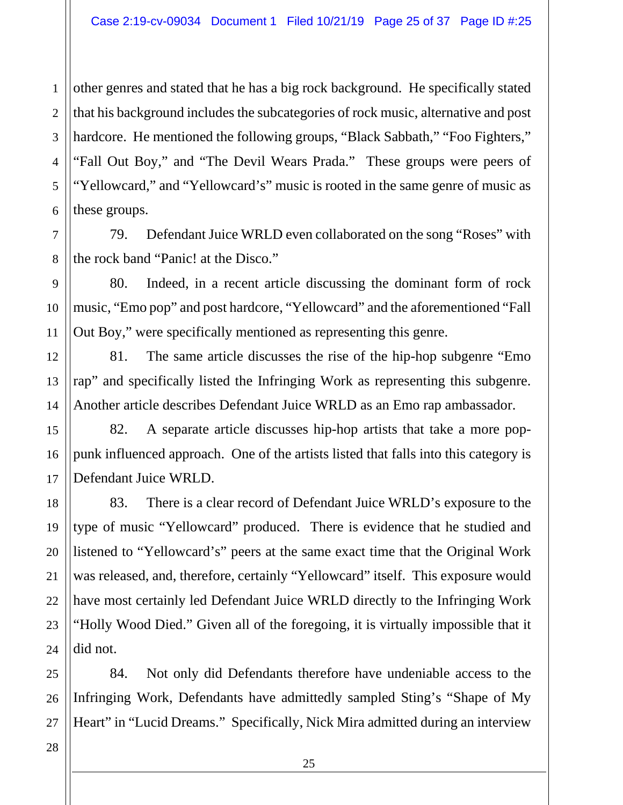other genres and stated that he has a big rock background. He specifically stated that his background includes the subcategories of rock music, alternative and post hardcore. He mentioned the following groups, "Black Sabbath," "Foo Fighters," "Fall Out Boy," and "The Devil Wears Prada." These groups were peers of "Yellowcard," and "Yellowcard's" music is rooted in the same genre of music as these groups.

79. Defendant Juice WRLD even collaborated on the song "Roses" with the rock band "Panic! at the Disco."

80. Indeed, in a recent article discussing the dominant form of rock music, "Emo pop" and post hardcore, "Yellowcard" and the aforementioned "Fall Out Boy," were specifically mentioned as representing this genre.

81. The same article discusses the rise of the hip-hop subgenre "Emo rap" and specifically listed the Infringing Work as representing this subgenre. Another article describes Defendant Juice WRLD as an Emo rap ambassador.

82. A separate article discusses hip-hop artists that take a more poppunk influenced approach. One of the artists listed that falls into this category is Defendant Juice WRLD.

83. There is a clear record of Defendant Juice WRLD's exposure to the type of music "Yellowcard" produced. There is evidence that he studied and listened to "Yellowcard's" peers at the same exact time that the Original Work was released, and, therefore, certainly "Yellowcard" itself. This exposure would have most certainly led Defendant Juice WRLD directly to the Infringing Work "Holly Wood Died." Given all of the foregoing, it is virtually impossible that it did not.

84. Not only did Defendants therefore have undeniable access to the Infringing Work, Defendants have admittedly sampled Sting's "Shape of My Heart" in "Lucid Dreams." Specifically, Nick Mira admitted during an interview

1

2

3

4

5

6

7

8

9

10

11

12

13

14

15

16

17

18

19

20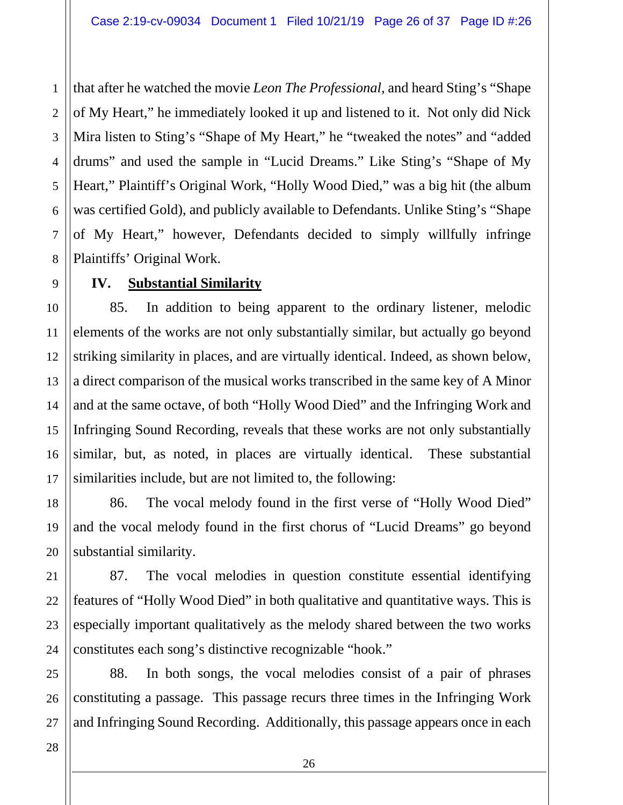4 6 that after he watched the movie *Leon The Professional*, and heard Sting's "Shape of My Heart," he immediately looked it up and listened to it. Not only did Nick Mira listen to Sting's "Shape of My Heart," he "tweaked the notes" and "added drums" and used the sample in "Lucid Dreams." Like Sting's "Shape of My Heart," Plaintiff's Original Work, "Holly Wood Died," was a big hit (the album was certified Gold), and publicly available to Defendants. Unlike Sting's "Shape of My Heart," however, Defendants decided to simply willfully infringe Plaintiffs' Original Work.

### **IV. Substantial Similarity**

85. In addition to being apparent to the ordinary listener, melodic elements of the works are not only substantially similar, but actually go beyond striking similarity in places, and are virtually identical. Indeed, as shown below, a direct comparison of the musical works transcribed in the same key of A Minor and at the same octave, of both "Holly Wood Died" and the Infringing Work and Infringing Sound Recording, reveals that these works are not only substantially similar, but, as noted, in places are virtually identical. These substantial similarities include, but are not limited to, the following:

86. The vocal melody found in the first verse of "Holly Wood Died" and the vocal melody found in the first chorus of "Lucid Dreams" go beyond substantial similarity.

87. The vocal melodies in question constitute essential identifying features of "Holly Wood Died" in both qualitative and quantitative ways. This is especially important qualitatively as the melody shared between the two works constitutes each song's distinctive recognizable "hook."

88. In both songs, the vocal melodies consist of a pair of phrases constituting a passage. This passage recurs three times in the Infringing Work and Infringing Sound Recording. Additionally, this passage appears once in each

1

2

3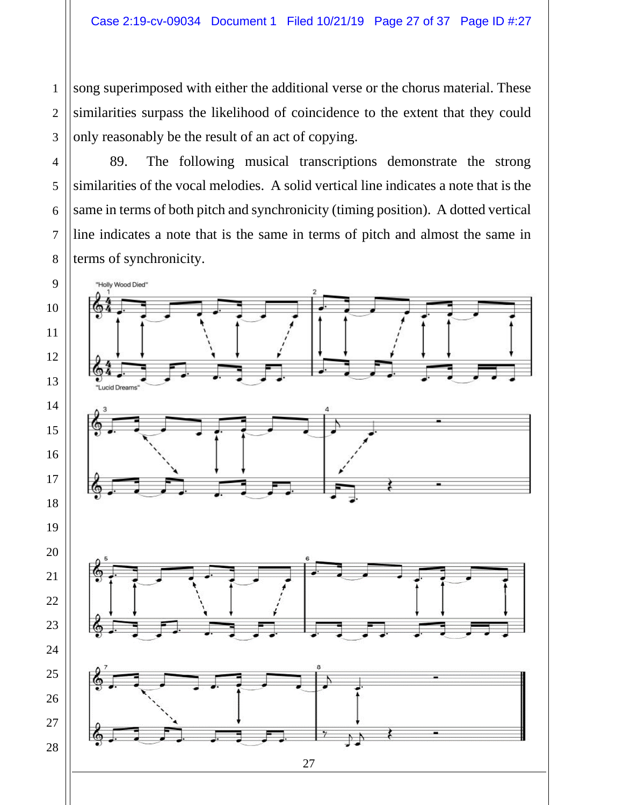song superimposed with either the additional verse or the chorus material. These similarities surpass the likelihood of coincidence to the extent that they could only reasonably be the result of an act of copying.

89. The following musical transcriptions demonstrate the strong similarities of the vocal melodies. A solid vertical line indicates a note that is the same in terms of both pitch and synchronicity (timing position). A dotted vertical line indicates a note that is the same in terms of pitch and almost the same in terms of synchronicity.

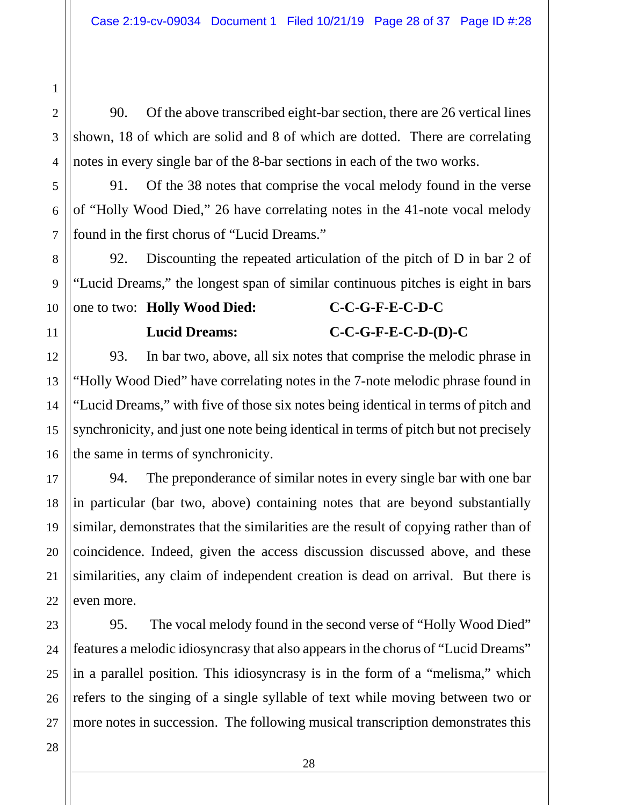90. Of the above transcribed eight-bar section, there are 26 vertical lines shown, 18 of which are solid and 8 of which are dotted. There are correlating notes in every single bar of the 8-bar sections in each of the two works.

91. Of the 38 notes that comprise the vocal melody found in the verse of "Holly Wood Died," 26 have correlating notes in the 41-note vocal melody found in the first chorus of "Lucid Dreams."

92. Discounting the repeated articulation of the pitch of D in bar 2 of "Lucid Dreams," the longest span of similar continuous pitches is eight in bars

# one to two: **Holly Wood Died: C-C-G-F-E-C-D-C Lucid Dreams: C-C-G-F-E-C-D-(D)-C**

93. In bar two, above, all six notes that comprise the melodic phrase in "Holly Wood Died" have correlating notes in the 7-note melodic phrase found in "Lucid Dreams," with five of those six notes being identical in terms of pitch and synchronicity, and just one note being identical in terms of pitch but not precisely the same in terms of synchronicity.

94. The preponderance of similar notes in every single bar with one bar in particular (bar two, above) containing notes that are beyond substantially similar, demonstrates that the similarities are the result of copying rather than of coincidence. Indeed, given the access discussion discussed above, and these similarities, any claim of independent creation is dead on arrival. But there is even more.

95. The vocal melody found in the second verse of "Holly Wood Died" features a melodic idiosyncrasy that also appears in the chorus of "Lucid Dreams" in a parallel position. This idiosyncrasy is in the form of a "melisma," which refers to the singing of a single syllable of text while moving between two or more notes in succession. The following musical transcription demonstrates this

1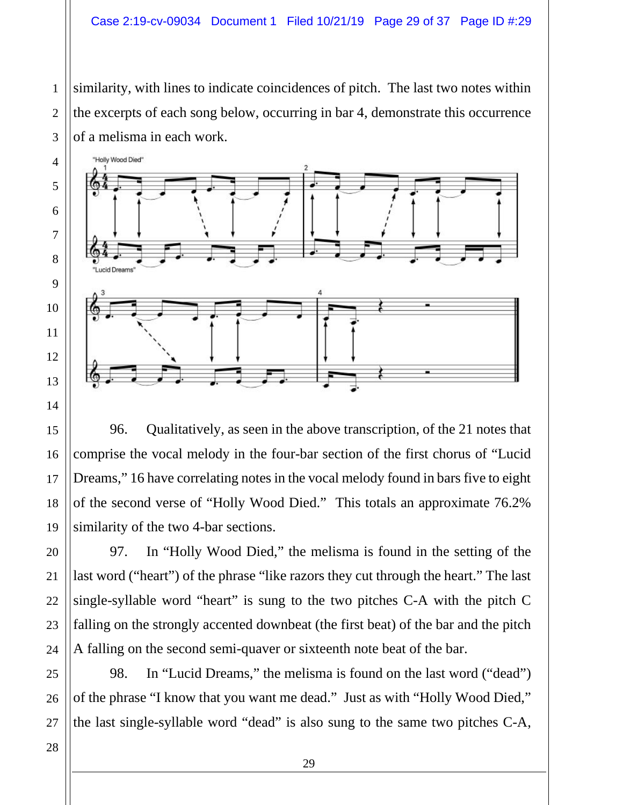similarity, with lines to indicate coincidences of pitch. The last two notes within the excerpts of each song below, occurring in bar 4, demonstrate this occurrence of a melisma in each work.



96. Qualitatively, as seen in the above transcription, of the 21 notes that comprise the vocal melody in the four-bar section of the first chorus of "Lucid Dreams," 16 have correlating notes in the vocal melody found in bars five to eight of the second verse of "Holly Wood Died." This totals an approximate 76.2% similarity of the two 4-bar sections.

97. In "Holly Wood Died," the melisma is found in the setting of the last word ("heart") of the phrase "like razors they cut through the heart." The last single-syllable word "heart" is sung to the two pitches C-A with the pitch C falling on the strongly accented downbeat (the first beat) of the bar and the pitch A falling on the second semi-quaver or sixteenth note beat of the bar.

98. In "Lucid Dreams," the melisma is found on the last word ("dead") of the phrase "I know that you want me dead." Just as with "Holly Wood Died," the last single-syllable word "dead" is also sung to the same two pitches C-A,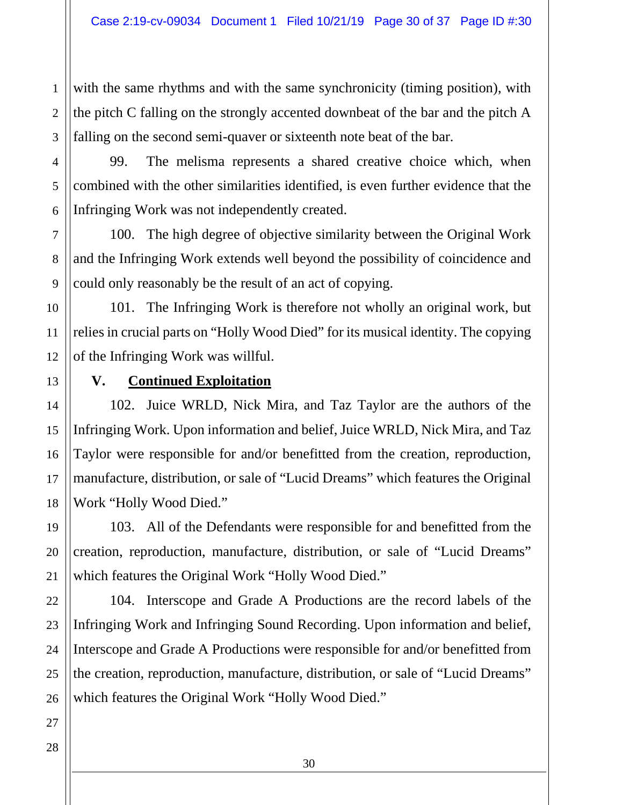with the same rhythms and with the same synchronicity (timing position), with the pitch C falling on the strongly accented downbeat of the bar and the pitch A falling on the second semi-quaver or sixteenth note beat of the bar.

99. The melisma represents a shared creative choice which, when combined with the other similarities identified, is even further evidence that the Infringing Work was not independently created.

100. The high degree of objective similarity between the Original Work and the Infringing Work extends well beyond the possibility of coincidence and could only reasonably be the result of an act of copying.

101. The Infringing Work is therefore not wholly an original work, but relies in crucial parts on "Holly Wood Died" for its musical identity. The copying of the Infringing Work was willful.

### **V. Continued Exploitation**

102. Juice WRLD, Nick Mira, and Taz Taylor are the authors of the Infringing Work. Upon information and belief, Juice WRLD, Nick Mira, and Taz Taylor were responsible for and/or benefitted from the creation, reproduction, manufacture, distribution, or sale of "Lucid Dreams" which features the Original Work "Holly Wood Died."

103. All of the Defendants were responsible for and benefitted from the creation, reproduction, manufacture, distribution, or sale of "Lucid Dreams" which features the Original Work "Holly Wood Died."

104. Interscope and Grade A Productions are the record labels of the Infringing Work and Infringing Sound Recording. Upon information and belief, Interscope and Grade A Productions were responsible for and/or benefitted from the creation, reproduction, manufacture, distribution, or sale of "Lucid Dreams" which features the Original Work "Holly Wood Died."

1

2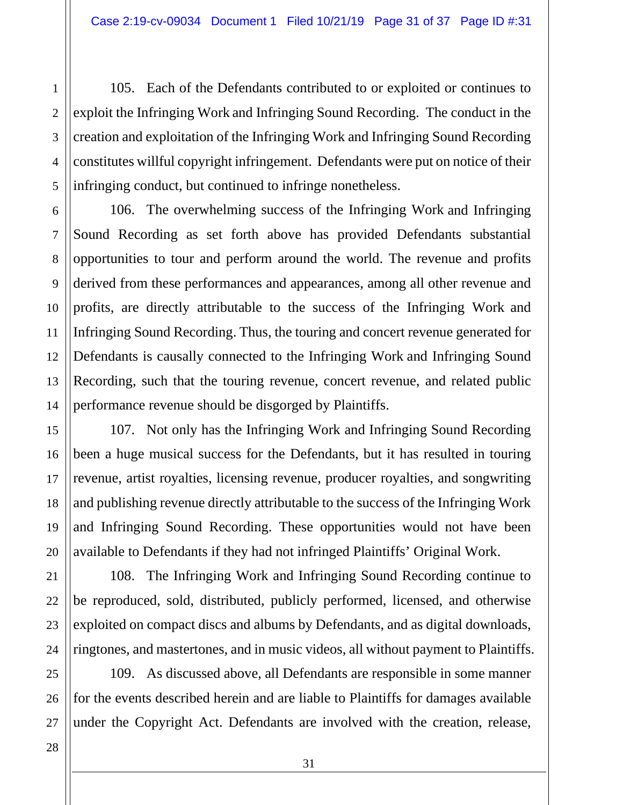105. Each of the Defendants contributed to or exploited or continues to exploit the Infringing Work and Infringing Sound Recording. The conduct in the creation and exploitation of the Infringing Work and Infringing Sound Recording constitutes willful copyright infringement. Defendants were put on notice of their infringing conduct, but continued to infringe nonetheless.

106. The overwhelming success of the Infringing Work and Infringing Sound Recording as set forth above has provided Defendants substantial opportunities to tour and perform around the world. The revenue and profits derived from these performances and appearances, among all other revenue and profits, are directly attributable to the success of the Infringing Work and Infringing Sound Recording. Thus, the touring and concert revenue generated for Defendants is causally connected to the Infringing Work and Infringing Sound Recording, such that the touring revenue, concert revenue, and related public performance revenue should be disgorged by Plaintiffs.

107. Not only has the Infringing Work and Infringing Sound Recording been a huge musical success for the Defendants, but it has resulted in touring revenue, artist royalties, licensing revenue, producer royalties, and songwriting and publishing revenue directly attributable to the success of the Infringing Work and Infringing Sound Recording. These opportunities would not have been available to Defendants if they had not infringed Plaintiffs' Original Work.

108. The Infringing Work and Infringing Sound Recording continue to be reproduced, sold, distributed, publicly performed, licensed, and otherwise exploited on compact discs and albums by Defendants, and as digital downloads, ringtones, and mastertones, and in music videos, all without payment to Plaintiffs.

109. As discussed above, all Defendants are responsible in some manner for the events described herein and are liable to Plaintiffs for damages available under the Copyright Act. Defendants are involved with the creation, release,

1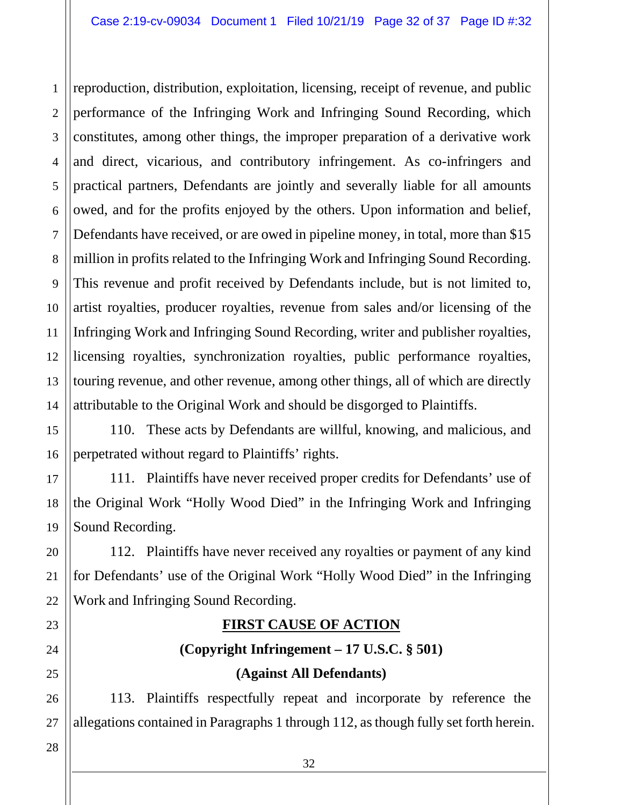1 2 3 4 5 6 7 8 9 10 11 12 13 14 reproduction, distribution, exploitation, licensing, receipt of revenue, and public performance of the Infringing Work and Infringing Sound Recording, which constitutes, among other things, the improper preparation of a derivative work and direct, vicarious, and contributory infringement. As co-infringers and practical partners, Defendants are jointly and severally liable for all amounts owed, and for the profits enjoyed by the others. Upon information and belief, Defendants have received, or are owed in pipeline money, in total, more than \$15 million in profits related to the Infringing Work and Infringing Sound Recording. This revenue and profit received by Defendants include, but is not limited to, artist royalties, producer royalties, revenue from sales and/or licensing of the Infringing Work and Infringing Sound Recording, writer and publisher royalties, licensing royalties, synchronization royalties, public performance royalties, touring revenue, and other revenue, among other things, all of which are directly attributable to the Original Work and should be disgorged to Plaintiffs.

110. These acts by Defendants are willful, knowing, and malicious, and perpetrated without regard to Plaintiffs' rights.

111. Plaintiffs have never received proper credits for Defendants' use of the Original Work "Holly Wood Died" in the Infringing Work and Infringing Sound Recording.

112. Plaintiffs have never received any royalties or payment of any kind for Defendants' use of the Original Work "Holly Wood Died" in the Infringing Work and Infringing Sound Recording.

# **FIRST CAUSE OF ACTION**

# **(Copyright Infringement – 17 U.S.C. § 501) (Against All Defendants)**

113. Plaintiffs respectfully repeat and incorporate by reference the allegations contained in Paragraphs 1 through 112, as though fully set forth herein.

27 28

15

16

17

18

19

20

21

22

23

24

25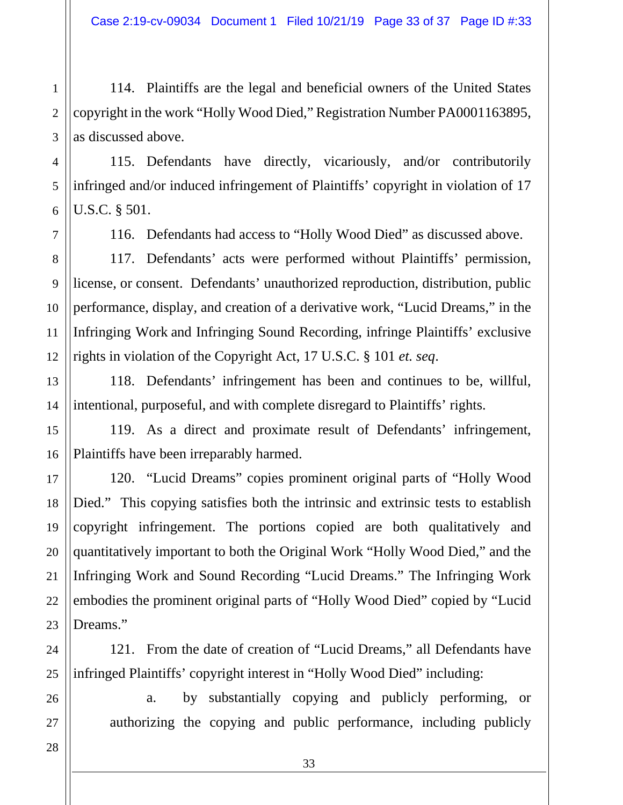114. Plaintiffs are the legal and beneficial owners of the United States copyright in the work "Holly Wood Died," Registration Number PA0001163895, as discussed above.

115. Defendants have directly, vicariously, and/or contributorily infringed and/or induced infringement of Plaintiffs' copyright in violation of 17 U.S.C. § 501.

116. Defendants had access to "Holly Wood Died" as discussed above.

117. Defendants' acts were performed without Plaintiffs' permission, license, or consent. Defendants' unauthorized reproduction, distribution, public performance, display, and creation of a derivative work, "Lucid Dreams," in the Infringing Work and Infringing Sound Recording, infringe Plaintiffs' exclusive rights in violation of the Copyright Act, 17 U.S.C. § 101 *et. seq*.

118. Defendants' infringement has been and continues to be, willful, intentional, purposeful, and with complete disregard to Plaintiffs' rights.

119. As a direct and proximate result of Defendants' infringement, Plaintiffs have been irreparably harmed.

120. "Lucid Dreams" copies prominent original parts of "Holly Wood Died." This copying satisfies both the intrinsic and extrinsic tests to establish copyright infringement. The portions copied are both qualitatively and quantitatively important to both the Original Work "Holly Wood Died," and the Infringing Work and Sound Recording "Lucid Dreams." The Infringing Work embodies the prominent original parts of "Holly Wood Died" copied by "Lucid Dreams."

121. From the date of creation of "Lucid Dreams," all Defendants have infringed Plaintiffs' copyright interest in "Holly Wood Died" including:

a. by substantially copying and publicly performing, or authorizing the copying and public performance, including publicly

1

2

3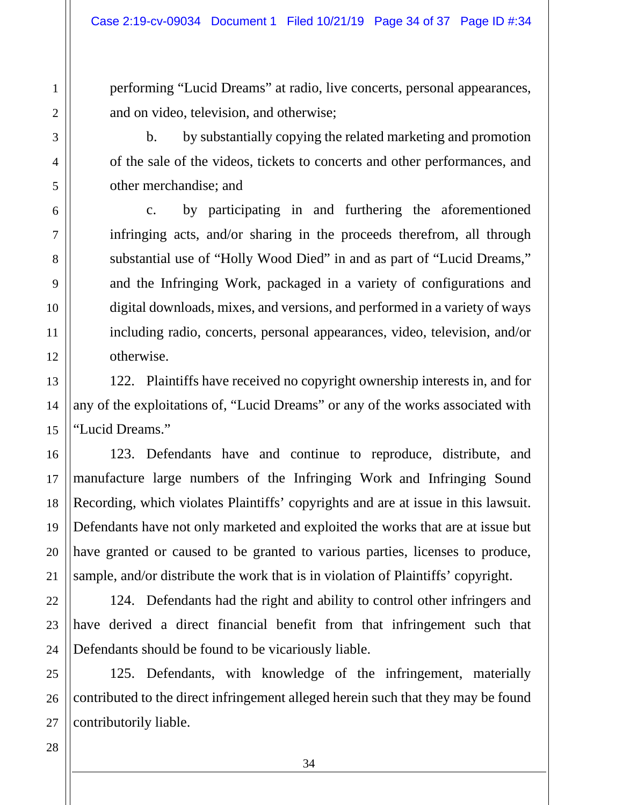performing "Lucid Dreams" at radio, live concerts, personal appearances, and on video, television, and otherwise;

b. by substantially copying the related marketing and promotion of the sale of the videos, tickets to concerts and other performances, and other merchandise; and

c. by participating in and furthering the aforementioned infringing acts, and/or sharing in the proceeds therefrom, all through substantial use of "Holly Wood Died" in and as part of "Lucid Dreams," and the Infringing Work, packaged in a variety of configurations and digital downloads, mixes, and versions, and performed in a variety of ways including radio, concerts, personal appearances, video, television, and/or otherwise.

122. Plaintiffs have received no copyright ownership interests in, and for any of the exploitations of, "Lucid Dreams" or any of the works associated with "Lucid Dreams."

123. Defendants have and continue to reproduce, distribute, and manufacture large numbers of the Infringing Work and Infringing Sound Recording, which violates Plaintiffs' copyrights and are at issue in this lawsuit. Defendants have not only marketed and exploited the works that are at issue but have granted or caused to be granted to various parties, licenses to produce, sample, and/or distribute the work that is in violation of Plaintiffs' copyright.

124. Defendants had the right and ability to control other infringers and have derived a direct financial benefit from that infringement such that Defendants should be found to be vicariously liable.

125. Defendants, with knowledge of the infringement, materially contributed to the direct infringement alleged herein such that they may be found contributorily liable.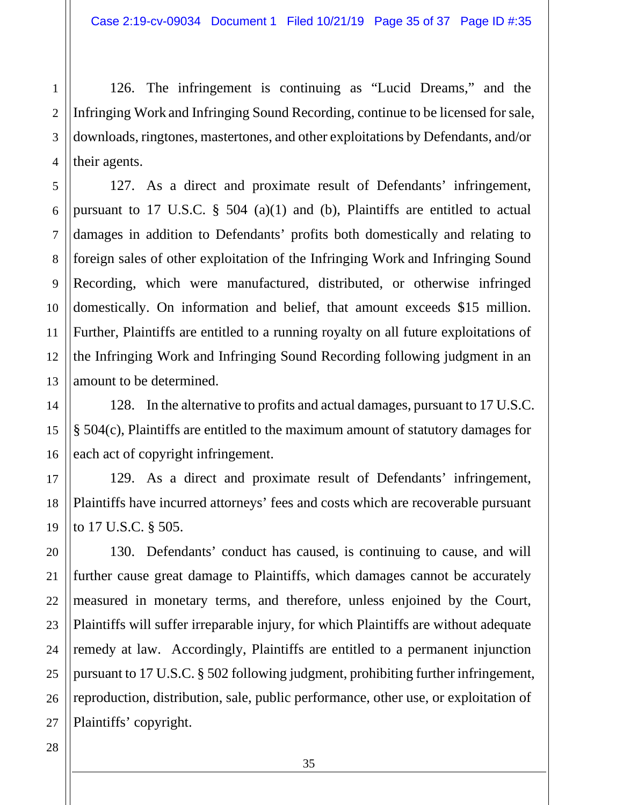126. The infringement is continuing as "Lucid Dreams," and the Infringing Work and Infringing Sound Recording, continue to be licensed for sale, downloads, ringtones, mastertones, and other exploitations by Defendants, and/or their agents.

127. As a direct and proximate result of Defendants' infringement, pursuant to 17 U.S.C.  $\S$  504 (a)(1) and (b), Plaintiffs are entitled to actual damages in addition to Defendants' profits both domestically and relating to foreign sales of other exploitation of the Infringing Work and Infringing Sound Recording, which were manufactured, distributed, or otherwise infringed domestically. On information and belief, that amount exceeds \$15 million. Further, Plaintiffs are entitled to a running royalty on all future exploitations of the Infringing Work and Infringing Sound Recording following judgment in an amount to be determined.

128. In the alternative to profits and actual damages, pursuant to 17 U.S.C. § 504(c), Plaintiffs are entitled to the maximum amount of statutory damages for each act of copyright infringement.

129. As a direct and proximate result of Defendants' infringement, Plaintiffs have incurred attorneys' fees and costs which are recoverable pursuant to 17 U.S.C. § 505.

130. Defendants' conduct has caused, is continuing to cause, and will further cause great damage to Plaintiffs, which damages cannot be accurately measured in monetary terms, and therefore, unless enjoined by the Court, Plaintiffs will suffer irreparable injury, for which Plaintiffs are without adequate remedy at law. Accordingly, Plaintiffs are entitled to a permanent injunction pursuant to 17 U.S.C. § 502 following judgment, prohibiting further infringement, reproduction, distribution, sale, public performance, other use, or exploitation of Plaintiffs' copyright.

1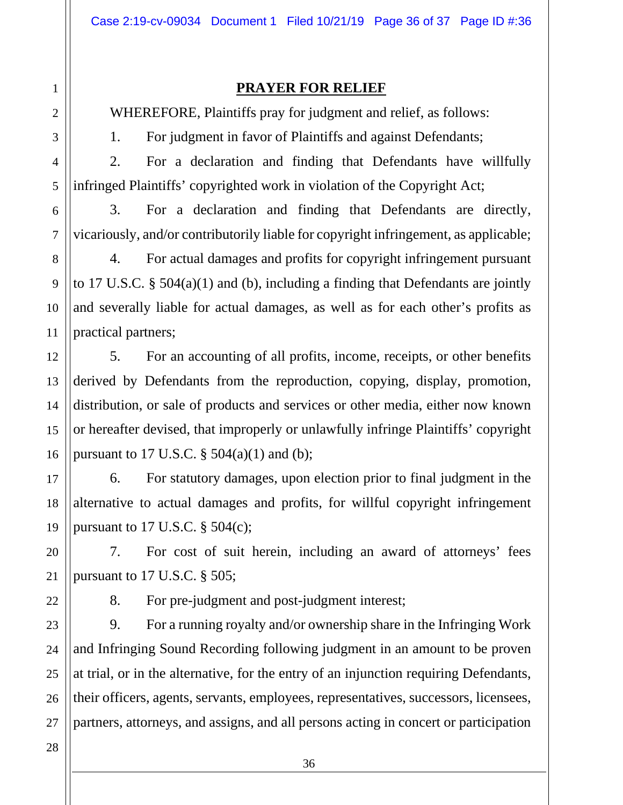### **PRAYER FOR RELIEF**

WHEREFORE, Plaintiffs pray for judgment and relief, as follows:

1. For judgment in favor of Plaintiffs and against Defendants;

2. For a declaration and finding that Defendants have willfully infringed Plaintiffs' copyrighted work in violation of the Copyright Act;

3. For a declaration and finding that Defendants are directly, vicariously, and/or contributorily liable for copyright infringement, as applicable;

4. For actual damages and profits for copyright infringement pursuant to 17 U.S.C. § 504(a)(1) and (b), including a finding that Defendants are jointly and severally liable for actual damages, as well as for each other's profits as practical partners;

5. For an accounting of all profits, income, receipts, or other benefits derived by Defendants from the reproduction, copying, display, promotion, distribution, or sale of products and services or other media, either now known or hereafter devised, that improperly or unlawfully infringe Plaintiffs' copyright pursuant to 17 U.S.C.  $\S$  504(a)(1) and (b);

6. For statutory damages, upon election prior to final judgment in the alternative to actual damages and profits, for willful copyright infringement pursuant to 17 U.S.C.  $\S$  504(c);

7. For cost of suit herein, including an award of attorneys' fees pursuant to 17 U.S.C. § 505;

1

2

3

4

5

6

7

8

9

10

11

12

13

14

15

16

17

18

19

20

21

22

23

24

25

26

27

8. For pre-judgment and post-judgment interest;

9. For a running royalty and/or ownership share in the Infringing Work and Infringing Sound Recording following judgment in an amount to be proven at trial, or in the alternative, for the entry of an injunction requiring Defendants, their officers, agents, servants, employees, representatives, successors, licensees, partners, attorneys, and assigns, and all persons acting in concert or participation